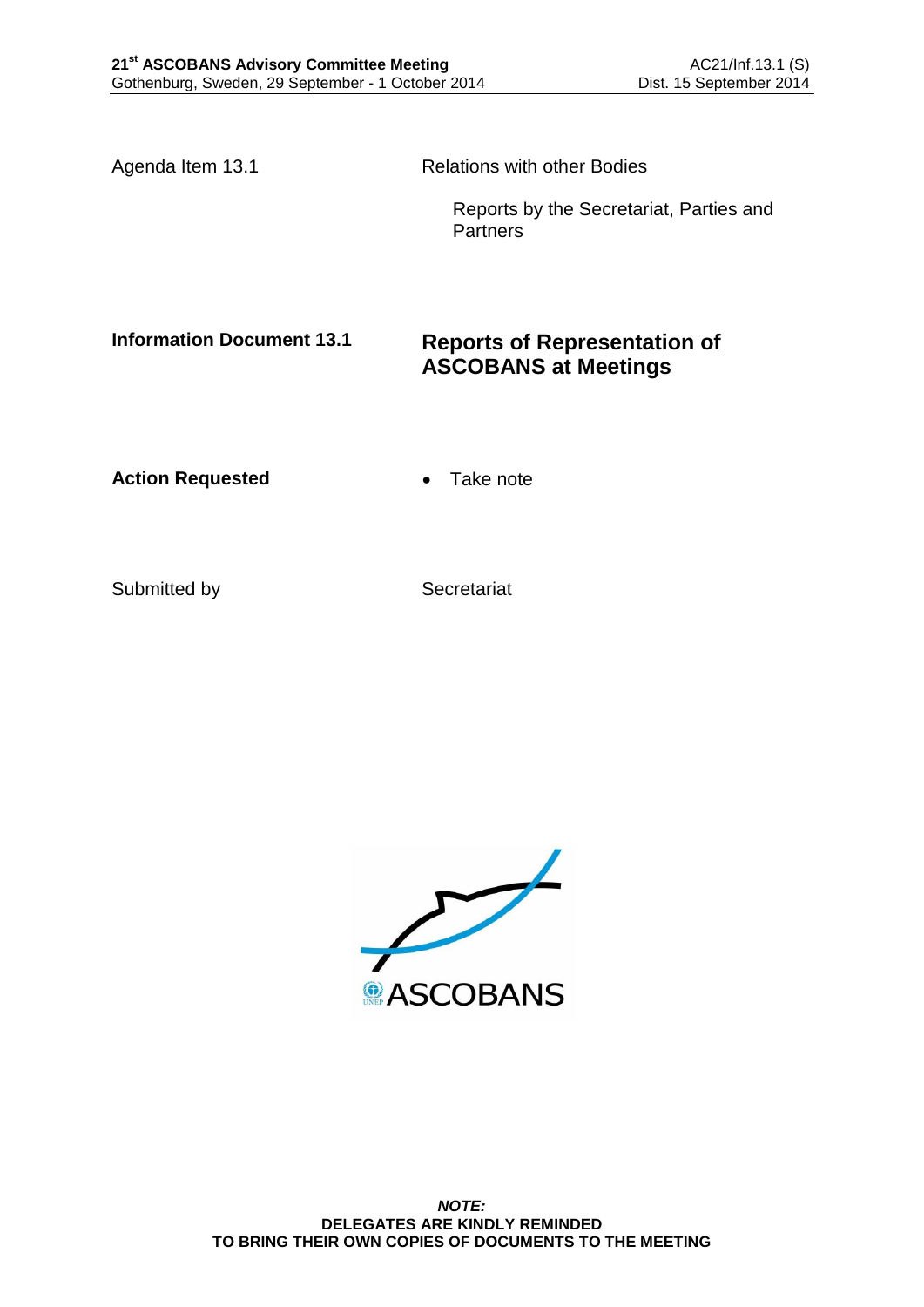Agenda Item 13.1 Relations with other Bodies

Reports by the Secretariat, Parties and **Partners** 

# **Information Document 13.1 Reports of Representation of ASCOBANS at Meetings**

Action Requested **Canadian Exercise Action Requested Canadian Exercise** 

Submitted by Secretariat

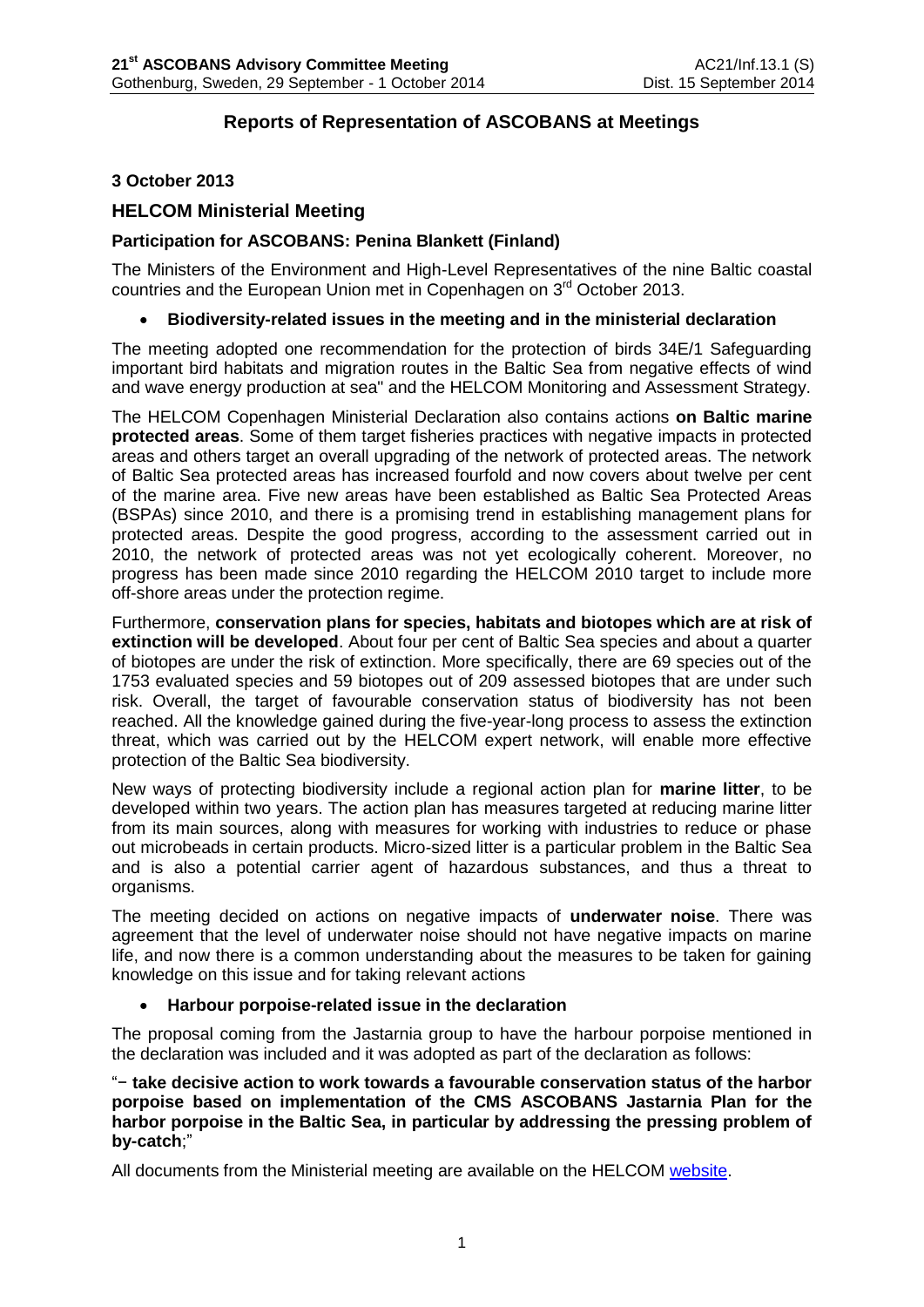# **Reports of Representation of ASCOBANS at Meetings**

## **3 October 2013**

## **HELCOM Ministerial Meeting**

### **Participation for ASCOBANS: Penina Blankett (Finland)**

The Ministers of the Environment and High-Level Representatives of the nine Baltic coastal countries and the European Union met in Copenhagen on 3rd October 2013.

### **Biodiversity-related issues in the meeting and in the ministerial declaration**

The meeting adopted one recommendation for the protection of birds 34E/1 Safeguarding important bird habitats and migration routes in the Baltic Sea from negative effects of wind and wave energy production at sea" and the HELCOM Monitoring and Assessment Strategy.

The HELCOM Copenhagen Ministerial Declaration also contains actions **on Baltic marine protected areas**. Some of them target fisheries practices with negative impacts in protected areas and others target an overall upgrading of the network of protected areas. The network of Baltic Sea protected areas has increased fourfold and now covers about twelve per cent of the marine area. Five new areas have been established as Baltic Sea Protected Areas (BSPAs) since 2010, and there is a promising trend in establishing management plans for protected areas. Despite the good progress, according to the assessment carried out in 2010, the network of protected areas was not yet ecologically coherent. Moreover, no progress has been made since 2010 regarding the HELCOM 2010 target to include more off-shore areas under the protection regime.

Furthermore, **conservation plans for species, habitats and biotopes which are at risk of extinction will be developed**. About four per cent of Baltic Sea species and about a quarter of biotopes are under the risk of extinction. More specifically, there are 69 species out of the 1753 evaluated species and 59 biotopes out of 209 assessed biotopes that are under such risk. Overall, the target of favourable conservation status of biodiversity has not been reached. All the knowledge gained during the five-year-long process to assess the extinction threat, which was carried out by the HELCOM expert network, will enable more effective protection of the Baltic Sea biodiversity.

New ways of protecting biodiversity include a regional action plan for **marine litter**, to be developed within two years. The action plan has measures targeted at reducing marine litter from its main sources, along with measures for working with industries to reduce or phase out microbeads in certain products. Micro-sized litter is a particular problem in the Baltic Sea and is also a potential carrier agent of hazardous substances, and thus a threat to organisms.

The meeting decided on actions on negative impacts of **underwater noise**. There was agreement that the level of underwater noise should not have negative impacts on marine life, and now there is a common understanding about the measures to be taken for gaining knowledge on this issue and for taking relevant actions

#### **Harbour porpoise-related issue in the declaration**

The proposal coming from the Jastarnia group to have the harbour porpoise mentioned in the declaration was included and it was adopted as part of the declaration as follows:

"− **take decisive action to work towards a favourable conservation status of the harbor porpoise based on implementation of the CMS ASCOBANS Jastarnia Plan for the harbor porpoise in the Baltic Sea, in particular by addressing the pressing problem of by-catch**;"

All documents from the Ministerial meeting are available on the HELCOM [website.](http://helcom.fi/Ministerial2013)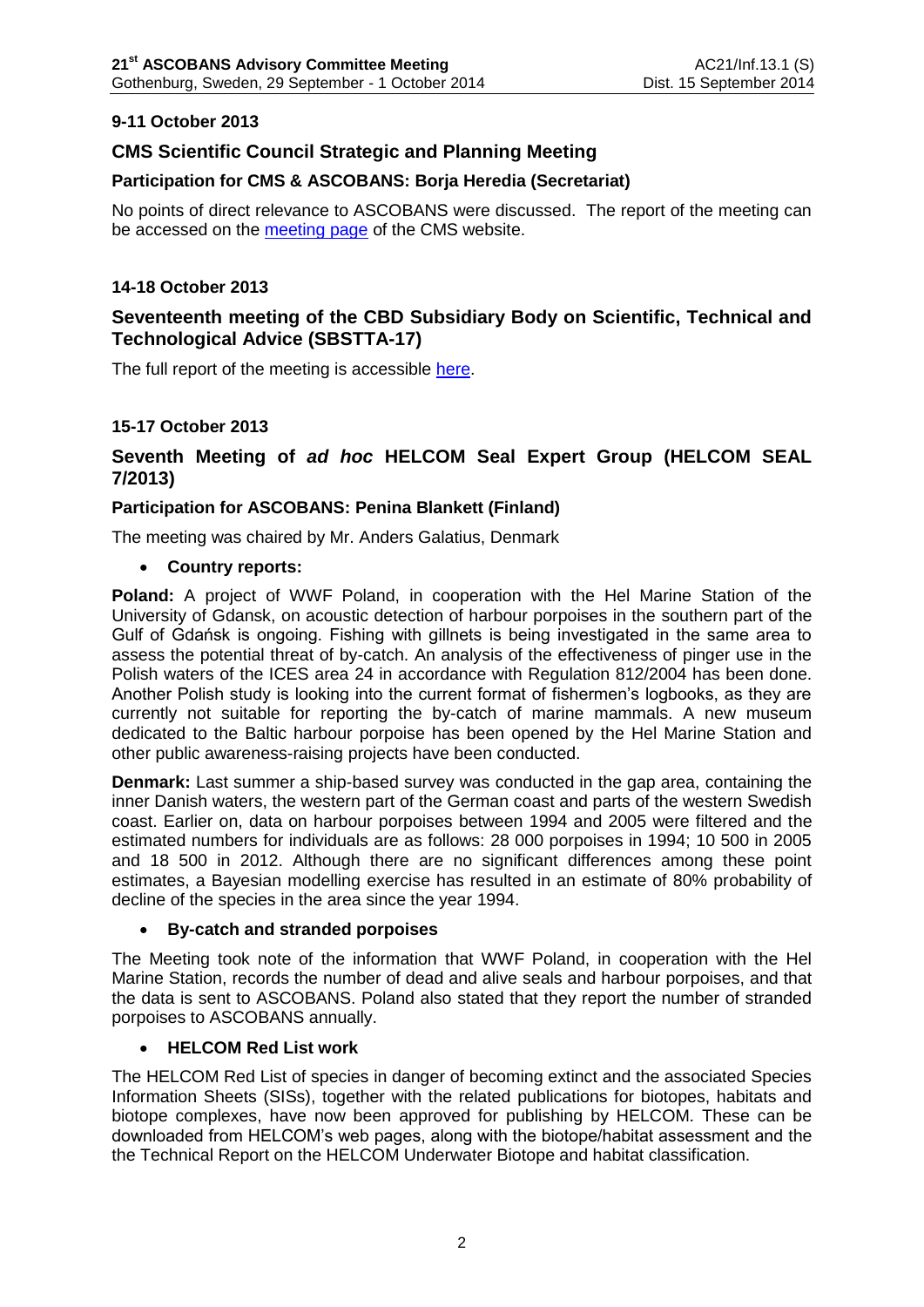# **9-11 October 2013**

# **CMS Scientific Council Strategic and Planning Meeting**

## **Participation for CMS & ASCOBANS: Borja Heredia (Secretariat)**

No points of direct relevance to ASCOBANS were discussed. The report of the meeting can be accessed on the [meeting page](http://www.cms.int/en/meeting/scientific-council-strategic-planning-meeting) of the CMS website.

## **14-18 October 2013**

# **Seventeenth meeting of the CBD Subsidiary Body on Scientific, Technical and Technological Advice (SBSTTA-17)**

The full report of the meeting is accessible [here.](http://www.cbd.int/doc/meetings/cop/cop-12/official/cop-12-02-en.pdf)

## **15-17 October 2013**

# **Seventh Meeting of** *ad hoc* **HELCOM Seal Expert Group (HELCOM SEAL 7/2013)**

## **Participation for ASCOBANS: Penina Blankett (Finland)**

The meeting was chaired by Mr. Anders Galatius, Denmark

### **Country reports:**

**Poland:** A project of WWF Poland, in cooperation with the Hel Marine Station of the University of Gdansk, on acoustic detection of harbour porpoises in the southern part of the Gulf of Gdańsk is ongoing. Fishing with gillnets is being investigated in the same area to assess the potential threat of by-catch. An analysis of the effectiveness of pinger use in the Polish waters of the ICES area 24 in accordance with Regulation 812/2004 has been done. Another Polish study is looking into the current format of fishermen's logbooks, as they are currently not suitable for reporting the by-catch of marine mammals. A new museum dedicated to the Baltic harbour porpoise has been opened by the Hel Marine Station and other public awareness-raising projects have been conducted.

**Denmark:** Last summer a ship-based survey was conducted in the gap area, containing the inner Danish waters, the western part of the German coast and parts of the western Swedish coast. Earlier on, data on harbour porpoises between 1994 and 2005 were filtered and the estimated numbers for individuals are as follows: 28 000 porpoises in 1994; 10 500 in 2005 and 18 500 in 2012. Although there are no significant differences among these point estimates, a Bayesian modelling exercise has resulted in an estimate of 80% probability of decline of the species in the area since the year 1994.

## **By-catch and stranded porpoises**

The Meeting took note of the information that WWF Poland, in cooperation with the Hel Marine Station, records the number of dead and alive seals and harbour porpoises, and that the data is sent to ASCOBANS. Poland also stated that they report the number of stranded porpoises to ASCOBANS annually.

## **HELCOM Red List work**

The HELCOM Red List of species in danger of becoming extinct and the associated Species Information Sheets (SISs), together with the related publications for biotopes, habitats and biotope complexes, have now been approved for publishing by HELCOM. These can be downloaded from HELCOM's web pages, along with the biotope/habitat assessment and the the Technical Report on the HELCOM Underwater Biotope and habitat classification.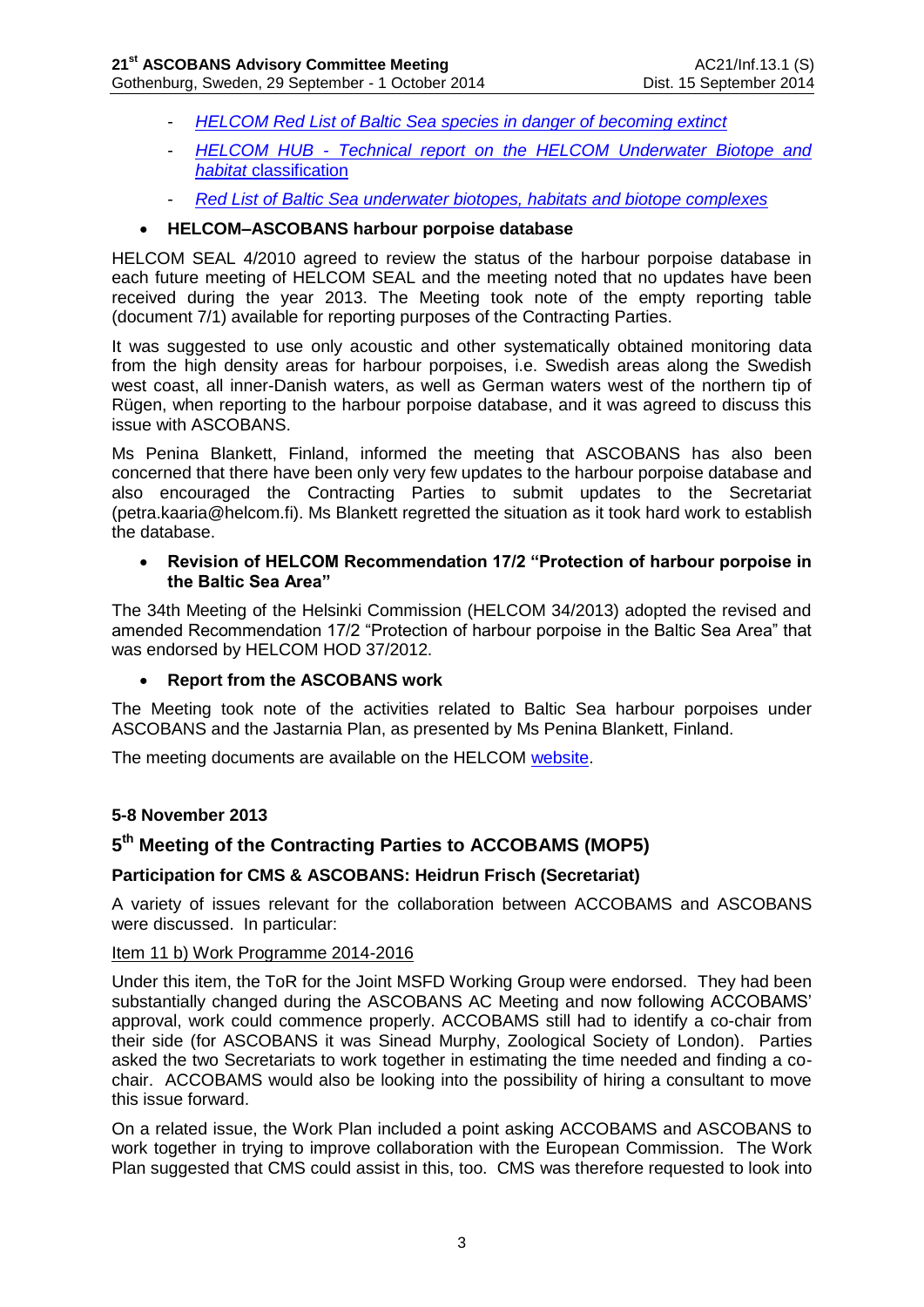- *[HELCOM Red List of Baltic Sea species in danger of becoming extinct](http://helcom.fi/Lists/Publications/BSEP140.pdf)*
- *HELCOM HUB - [Technical report on the HELCOM Underwater Biotope and](http://helcom.fi/Lists/Publications/BSEP139.pdf)  habitat* [classification](http://helcom.fi/Lists/Publications/BSEP139.pdf)
- *[Red List of Baltic Sea underwater biotopes, habitats and biotope complexes](http://helcom.fi/Lists/Publications/BSEP138.pdf)*

## **HELCOM–ASCOBANS harbour porpoise database**

HELCOM SEAL 4/2010 agreed to review the status of the harbour porpoise database in each future meeting of HELCOM SEAL and the meeting noted that no updates have been received during the year 2013. The Meeting took note of the empty reporting table (document 7/1) available for reporting purposes of the Contracting Parties.

It was suggested to use only acoustic and other systematically obtained monitoring data from the high density areas for harbour porpoises, i.e. Swedish areas along the Swedish west coast, all inner-Danish waters, as well as German waters west of the northern tip of Rügen, when reporting to the harbour porpoise database, and it was agreed to discuss this issue with ASCOBANS.

Ms Penina Blankett, Finland, informed the meeting that ASCOBANS has also been concerned that there have been only very few updates to the harbour porpoise database and also encouraged the Contracting Parties to submit updates to the Secretariat (petra.kaaria@helcom.fi). Ms Blankett regretted the situation as it took hard work to establish the database.

### **Revision of HELCOM Recommendation 17/2 "Protection of harbour porpoise in the Baltic Sea Area"**

The 34th Meeting of the Helsinki Commission (HELCOM 34/2013) adopted the revised and amended Recommendation 17/2 "Protection of harbour porpoise in the Baltic Sea Area" that was endorsed by HELCOM HOD 37/2012.

## **Report from the ASCOBANS work**

The Meeting took note of the activities related to Baltic Sea harbour porpoises under ASCOBANS and the Jastarnia Plan, as presented by Ms Penina Blankett, Finland.

The meeting documents are available on the HELCOM [website.](http://meeting.helcom.fi/c/document_library/get_file?p_l_id=16352&folderId=2458385&name=DLFE-54980.pdf)

## **5-8 November 2013**

# **5 th Meeting of the Contracting Parties to ACCOBAMS (MOP5)**

## **Participation for CMS & ASCOBANS: Heidrun Frisch (Secretariat)**

A variety of issues relevant for the collaboration between ACCOBAMS and ASCOBANS were discussed. In particular:

#### Item 11 b) Work Programme 2014-2016

Under this item, the ToR for the Joint MSFD Working Group were endorsed. They had been substantially changed during the ASCOBANS AC Meeting and now following ACCOBAMS' approval, work could commence properly. ACCOBAMS still had to identify a co-chair from their side (for ASCOBANS it was Sinead Murphy, Zoological Society of London). Parties asked the two Secretariats to work together in estimating the time needed and finding a cochair. ACCOBAMS would also be looking into the possibility of hiring a consultant to move this issue forward.

On a related issue, the Work Plan included a point asking ACCOBAMS and ASCOBANS to work together in trying to improve collaboration with the European Commission. The Work Plan suggested that CMS could assist in this, too. CMS was therefore requested to look into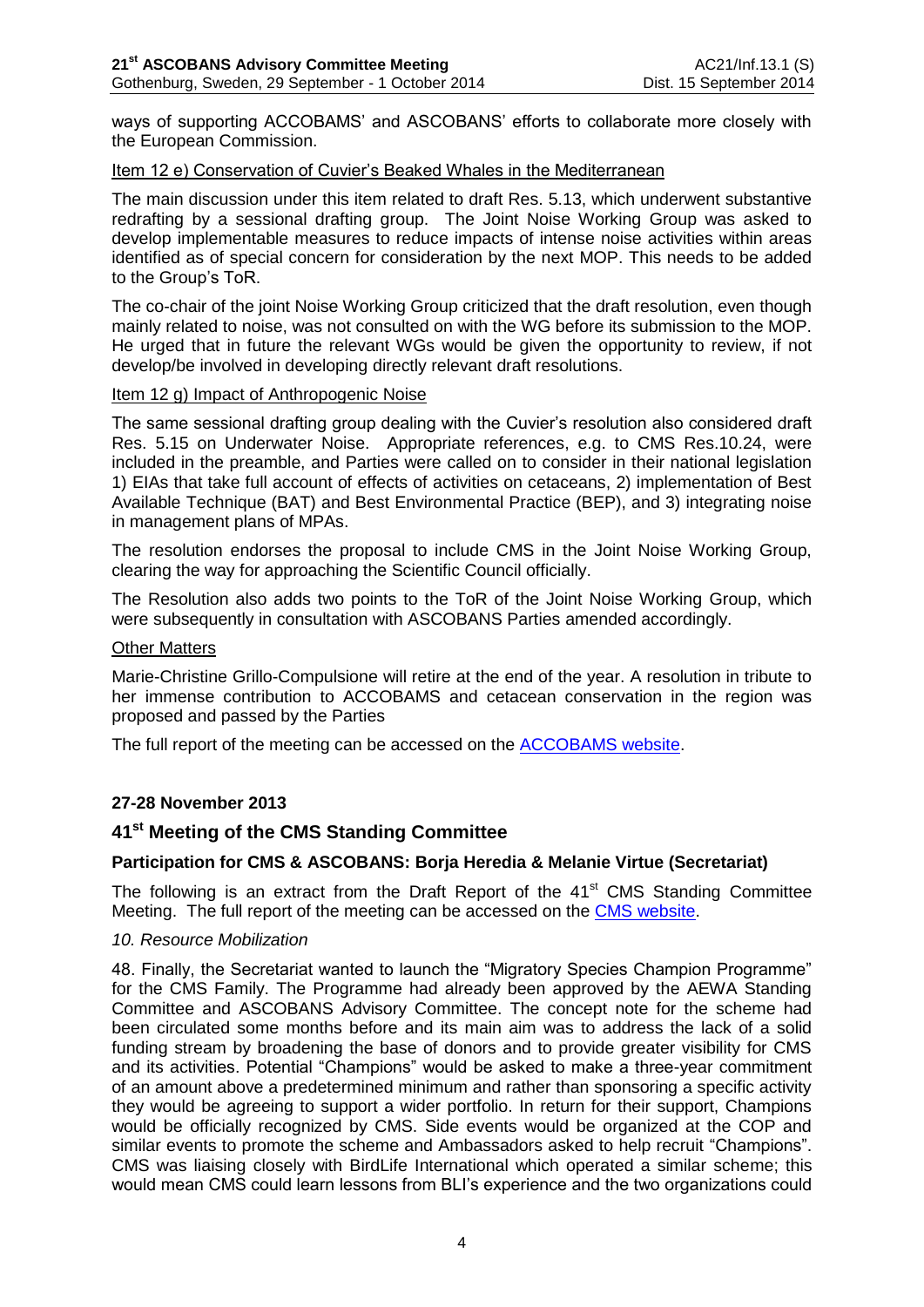ways of supporting ACCOBAMS' and ASCOBANS' efforts to collaborate more closely with the European Commission.

### Item 12 e) Conservation of Cuvier's Beaked Whales in the Mediterranean

The main discussion under this item related to draft Res. 5.13, which underwent substantive redrafting by a sessional drafting group. The Joint Noise Working Group was asked to develop implementable measures to reduce impacts of intense noise activities within areas identified as of special concern for consideration by the next MOP. This needs to be added to the Group's ToR.

The co-chair of the joint Noise Working Group criticized that the draft resolution, even though mainly related to noise, was not consulted on with the WG before its submission to the MOP. He urged that in future the relevant WGs would be given the opportunity to review, if not develop/be involved in developing directly relevant draft resolutions.

### Item 12 g) Impact of Anthropogenic Noise

The same sessional drafting group dealing with the Cuvier's resolution also considered draft Res. 5.15 on Underwater Noise. Appropriate references, e.g. to CMS Res.10.24, were included in the preamble, and Parties were called on to consider in their national legislation 1) EIAs that take full account of effects of activities on cetaceans, 2) implementation of Best Available Technique (BAT) and Best Environmental Practice (BEP), and 3) integrating noise in management plans of MPAs.

The resolution endorses the proposal to include CMS in the Joint Noise Working Group, clearing the way for approaching the Scientific Council officially.

The Resolution also adds two points to the ToR of the Joint Noise Working Group, which were subsequently in consultation with ASCOBANS Parties amended accordingly.

#### Other Matters

Marie-Christine Grillo-Compulsione will retire at the end of the year. A resolution in tribute to her immense contribution to ACCOBAMS and cetacean conservation in the region was proposed and passed by the Parties

The full report of the meeting can be accessed on the [ACCOBAMS website.](http://www.accobams.org/index.php?option=com_content&view=article&id=1174%3Amop5-final-report-and-resolutions&catid=34&Itemid=65)

## **27-28 November 2013**

# **41 st Meeting of the CMS Standing Committee**

## **Participation for CMS & ASCOBANS: Borja Heredia & Melanie Virtue (Secretariat)**

The following is an extract from the Draft Report of the 41<sup>st</sup> CMS Standing Committee Meeting. The full report of the meeting can be accessed on the [CMS website.](http://www.cms.int/en/meeting/41st-standing-committee-meeting)

#### *10. Resource Mobilization*

48. Finally, the Secretariat wanted to launch the "Migratory Species Champion Programme" for the CMS Family. The Programme had already been approved by the AEWA Standing Committee and ASCOBANS Advisory Committee. The concept note for the scheme had been circulated some months before and its main aim was to address the lack of a solid funding stream by broadening the base of donors and to provide greater visibility for CMS and its activities. Potential "Champions" would be asked to make a three-year commitment of an amount above a predetermined minimum and rather than sponsoring a specific activity they would be agreeing to support a wider portfolio. In return for their support, Champions would be officially recognized by CMS. Side events would be organized at the COP and similar events to promote the scheme and Ambassadors asked to help recruit "Champions". CMS was liaising closely with BirdLife International which operated a similar scheme; this would mean CMS could learn lessons from BLI's experience and the two organizations could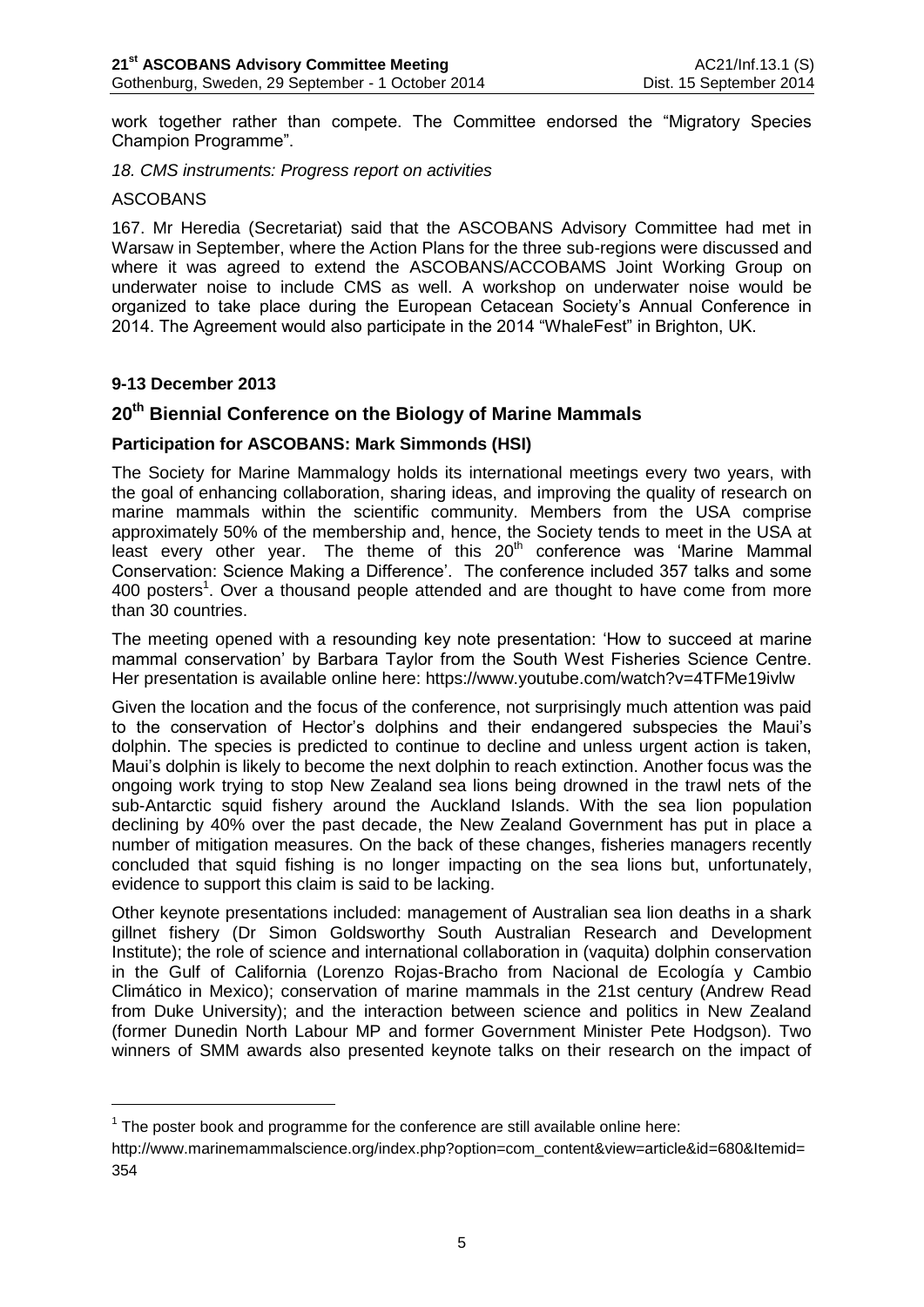work together rather than compete. The Committee endorsed the "Migratory Species Champion Programme".

*18. CMS instruments: Progress report on activities*

#### ASCOBANS

167. Mr Heredia (Secretariat) said that the ASCOBANS Advisory Committee had met in Warsaw in September, where the Action Plans for the three sub-regions were discussed and where it was agreed to extend the ASCOBANS/ACCOBAMS Joint Working Group on underwater noise to include CMS as well. A workshop on underwater noise would be organized to take place during the European Cetacean Society's Annual Conference in 2014. The Agreement would also participate in the 2014 "WhaleFest" in Brighton, UK.

## **9-13 December 2013**

<u>.</u>

# **20th Biennial Conference on the Biology of Marine Mammals**

### **Participation for ASCOBANS: Mark Simmonds (HSI)**

The Society for Marine Mammalogy holds its international meetings every two years, with the goal of enhancing collaboration, sharing ideas, and improving the quality of research on marine mammals within the scientific community. Members from the USA comprise approximately 50% of the membership and, hence, the Society tends to meet in the USA at least every other year. The theme of this  $20<sup>th</sup>$  conference was 'Marine Mammal Conservation: Science Making a Difference'. The conference included 357 talks and some 400 posters<sup>1</sup>. Over a thousand people attended and are thought to have come from more than 30 countries.

The meeting opened with a resounding key note presentation: 'How to succeed at marine mammal conservation' by Barbara Taylor from the South West Fisheries Science Centre. Her presentation is available online here: https://www.youtube.com/watch?v=4TFMe19ivlw

Given the location and the focus of the conference, not surprisingly much attention was paid to the conservation of Hector's dolphins and their endangered subspecies the Maui's dolphin. The species is predicted to continue to decline and unless urgent action is taken, Maui's dolphin is likely to become the next dolphin to reach extinction. Another focus was the ongoing work trying to stop New Zealand sea lions being drowned in the trawl nets of the sub-Antarctic squid fishery around the Auckland Islands. With the sea lion population declining by 40% over the past decade, the New Zealand Government has put in place a number of mitigation measures. On the back of these changes, fisheries managers recently concluded that squid fishing is no longer impacting on the sea lions but, unfortunately, evidence to support this claim is said to be lacking.

Other keynote presentations included: management of Australian sea lion deaths in a shark gillnet fishery (Dr Simon Goldsworthy South Australian Research and Development Institute); the role of science and international collaboration in (vaquita) dolphin conservation in the Gulf of California (Lorenzo Rojas-Bracho from Nacional de Ecología y Cambio Climático in Mexico); conservation of marine mammals in the 21st century (Andrew Read from Duke University); and the interaction between science and politics in New Zealand (former Dunedin North Labour MP and former Government Minister Pete Hodgson). Two winners of SMM awards also presented keynote talks on their research on the impact of

 $1$  The poster book and programme for the conference are still available online here:

http://www.marinemammalscience.org/index.php?option=com\_content&view=article&id=680&Itemid= 354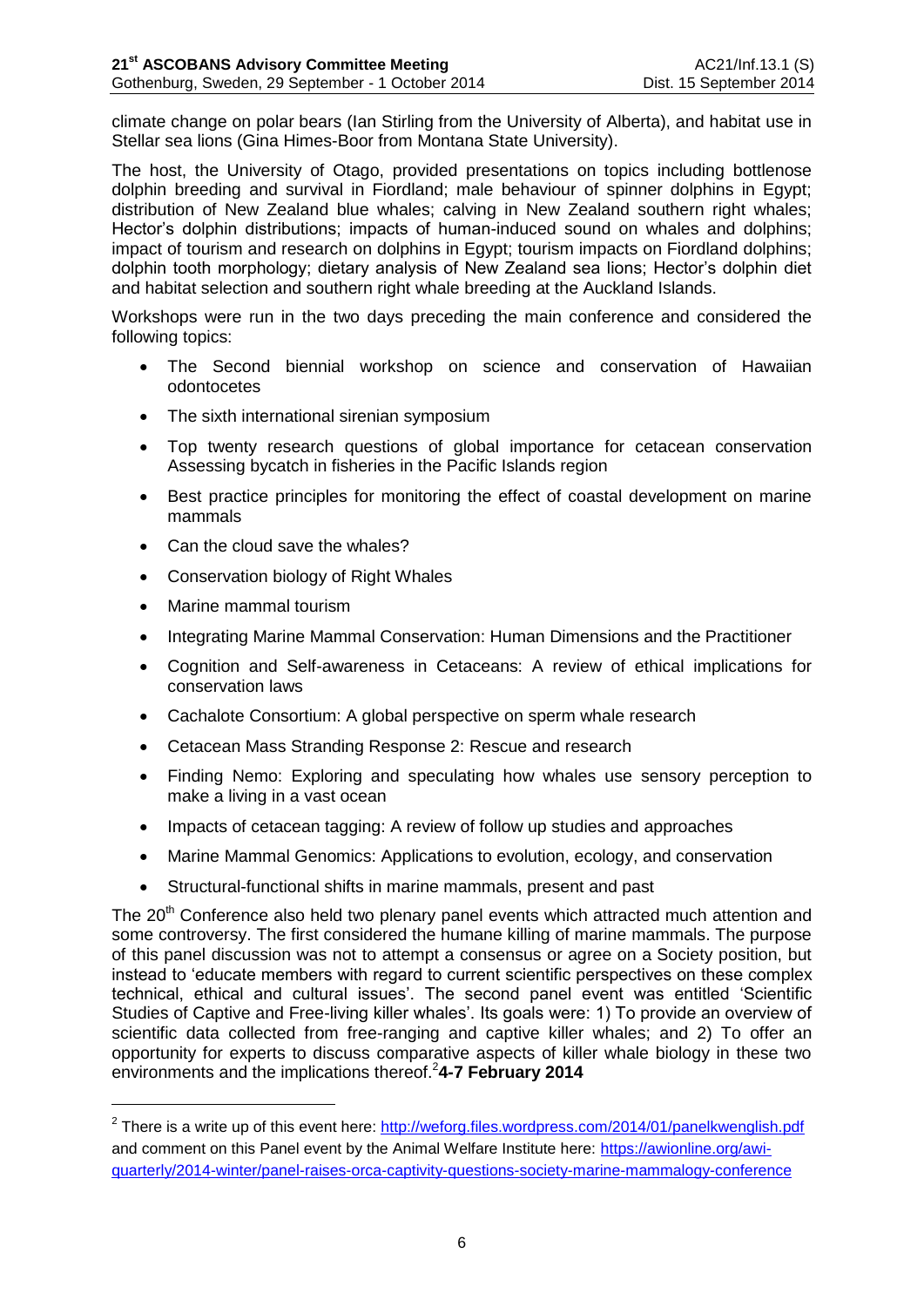climate change on polar bears (Ian Stirling from the University of Alberta), and habitat use in Stellar sea lions (Gina Himes-Boor from Montana State University).

The host, the University of Otago, provided presentations on topics including bottlenose dolphin breeding and survival in Fiordland; male behaviour of spinner dolphins in Egypt; distribution of New Zealand blue whales; calving in New Zealand southern right whales; Hector's dolphin distributions; impacts of human-induced sound on whales and dolphins; impact of tourism and research on dolphins in Egypt; tourism impacts on Fiordland dolphins; dolphin tooth morphology; dietary analysis of New Zealand sea lions; Hector's dolphin diet and habitat selection and southern right whale breeding at the Auckland Islands.

Workshops were run in the two days preceding the main conference and considered the following topics:

- The Second biennial workshop on science and conservation of Hawaiian odontocetes
- The sixth international sirenian symposium
- Top twenty research questions of global importance for cetacean conservation Assessing bycatch in fisheries in the Pacific Islands region
- Best practice principles for monitoring the effect of coastal development on marine mammals
- Can the cloud save the whales?
- Conservation biology of Right Whales
- Marine mammal tourism

<u>.</u>

- Integrating Marine Mammal Conservation: Human Dimensions and the Practitioner
- Cognition and Self-awareness in Cetaceans: A review of ethical implications for conservation laws
- Cachalote Consortium: A global perspective on sperm whale research
- Cetacean Mass Stranding Response 2: Rescue and research
- Finding Nemo: Exploring and speculating how whales use sensory perception to make a living in a vast ocean
- Impacts of cetacean tagging: A review of follow up studies and approaches
- Marine Mammal Genomics: Applications to evolution, ecology, and conservation
- Structural-functional shifts in marine mammals, present and past

The 20<sup>th</sup> Conference also held two plenary panel events which attracted much attention and some controversy. The first considered the humane killing of marine mammals. The purpose of this panel discussion was not to attempt a consensus or agree on a Society position, but instead to 'educate members with regard to current scientific perspectives on these complex technical, ethical and cultural issues'. The second panel event was entitled 'Scientific Studies of Captive and Free-living killer whales'. Its goals were: 1) To provide an overview of scientific data collected from free-ranging and captive killer whales; and 2) To offer an opportunity for experts to discuss comparative aspects of killer whale biology in these two environments and the implications thereof.<sup>2</sup>4-7 February 2014

<sup>&</sup>lt;sup>2</sup> There is a write up of this event here:<http://weforg.files.wordpress.com/2014/01/panelkwenglish.pdf> and comment on this Panel event by the Animal Welfare Institute here: [https://awionline.org/awi](https://awionline.org/awi-quarterly/2014-winter/panel-raises-orca-captivity-questions-society-marine-mammalogy-conference)[quarterly/2014-winter/panel-raises-orca-captivity-questions-society-marine-mammalogy-conference](https://awionline.org/awi-quarterly/2014-winter/panel-raises-orca-captivity-questions-society-marine-mammalogy-conference)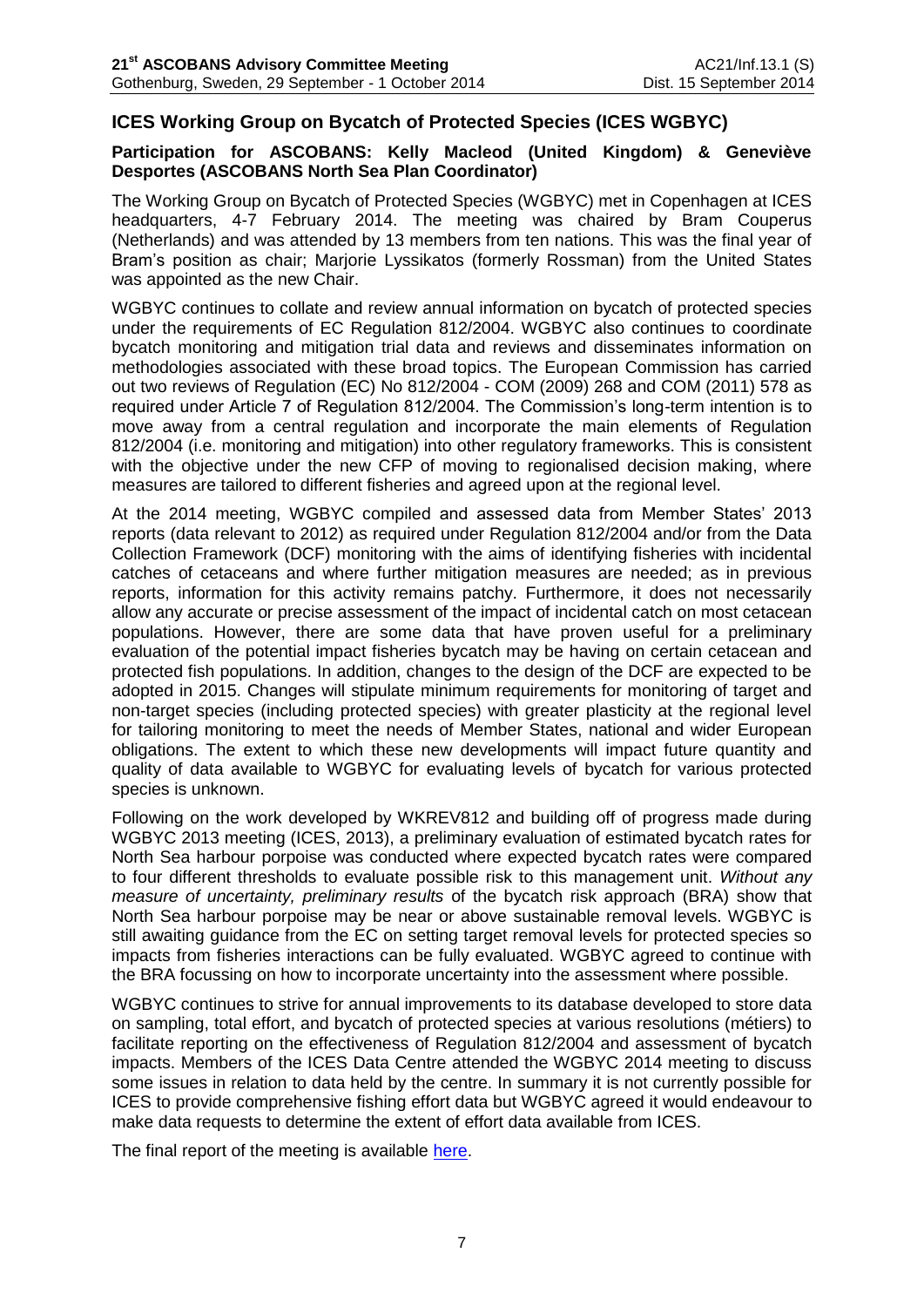# **ICES Working Group on Bycatch of Protected Species (ICES WGBYC)**

## **Participation for ASCOBANS: Kelly Macleod (United Kingdom) & Geneviève Desportes (ASCOBANS North Sea Plan Coordinator)**

The Working Group on Bycatch of Protected Species (WGBYC) met in Copenhagen at ICES headquarters, 4-7 February 2014. The meeting was chaired by Bram Couperus (Netherlands) and was attended by 13 members from ten nations. This was the final year of Bram's position as chair; Marjorie Lyssikatos (formerly Rossman) from the United States was appointed as the new Chair.

WGBYC continues to collate and review annual information on bycatch of protected species under the requirements of EC Regulation 812/2004. WGBYC also continues to coordinate bycatch monitoring and mitigation trial data and reviews and disseminates information on methodologies associated with these broad topics. The European Commission has carried out two reviews of Regulation (EC) No 812/2004 - COM (2009) 268 and COM (2011) 578 as required under Article 7 of Regulation 812/2004. The Commission's long-term intention is to move away from a central regulation and incorporate the main elements of Regulation 812/2004 (i.e. monitoring and mitigation) into other regulatory frameworks. This is consistent with the objective under the new CFP of moving to regionalised decision making, where measures are tailored to different fisheries and agreed upon at the regional level.

At the 2014 meeting, WGBYC compiled and assessed data from Member States' 2013 reports (data relevant to 2012) as required under Regulation 812/2004 and/or from the Data Collection Framework (DCF) monitoring with the aims of identifying fisheries with incidental catches of cetaceans and where further mitigation measures are needed; as in previous reports, information for this activity remains patchy. Furthermore, it does not necessarily allow any accurate or precise assessment of the impact of incidental catch on most cetacean populations. However, there are some data that have proven useful for a preliminary evaluation of the potential impact fisheries bycatch may be having on certain cetacean and protected fish populations. In addition, changes to the design of the DCF are expected to be adopted in 2015. Changes will stipulate minimum requirements for monitoring of target and non-target species (including protected species) with greater plasticity at the regional level for tailoring monitoring to meet the needs of Member States, national and wider European obligations. The extent to which these new developments will impact future quantity and quality of data available to WGBYC for evaluating levels of bycatch for various protected species is unknown.

Following on the work developed by WKREV812 and building off of progress made during WGBYC 2013 meeting (ICES, 2013), a preliminary evaluation of estimated bycatch rates for North Sea harbour porpoise was conducted where expected bycatch rates were compared to four different thresholds to evaluate possible risk to this management unit. *Without any measure of uncertainty, preliminary results* of the bycatch risk approach (BRA) show that North Sea harbour porpoise may be near or above sustainable removal levels. WGBYC is still awaiting guidance from the EC on setting target removal levels for protected species so impacts from fisheries interactions can be fully evaluated. WGBYC agreed to continue with the BRA focussing on how to incorporate uncertainty into the assessment where possible.

WGBYC continues to strive for annual improvements to its database developed to store data on sampling, total effort, and bycatch of protected species at various resolutions (métiers) to facilitate reporting on the effectiveness of Regulation 812/2004 and assessment of bycatch impacts. Members of the ICES Data Centre attended the WGBYC 2014 meeting to discuss some issues in relation to data held by the centre. In summary it is not currently possible for ICES to provide comprehensive fishing effort data but WGBYC agreed it would endeavour to make data requests to determine the extent of effort data available from ICES.

The final report of the meeting is available [here.](http://www.ices.dk/sites/pub/Publication%20Reports/Expert%20Group%20Report/acom/2014/WGBYC/wgbyc_2014.pdf)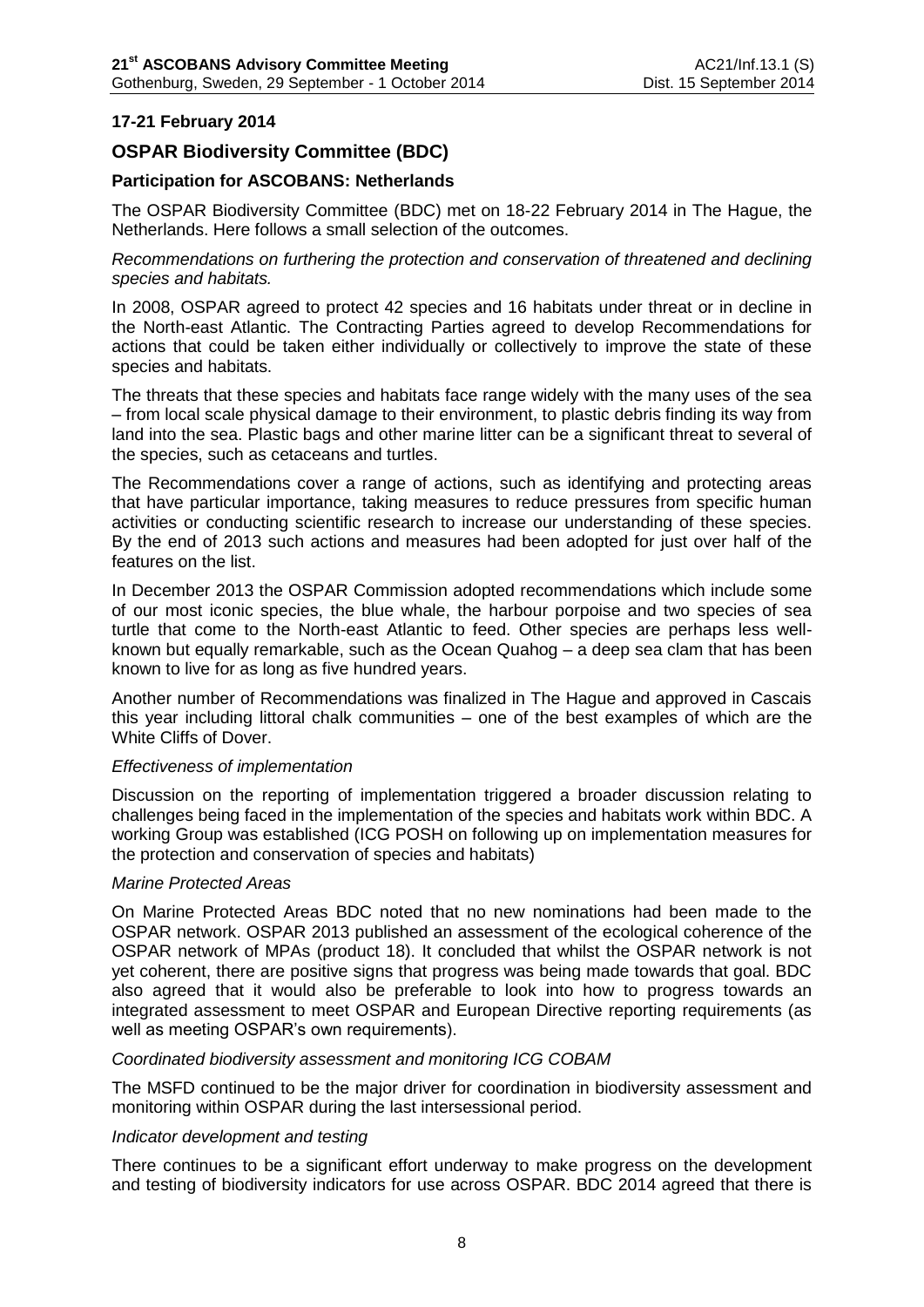## **17-21 February 2014**

# **OSPAR Biodiversity Committee (BDC)**

## **Participation for ASCOBANS: Netherlands**

The OSPAR Biodiversity Committee (BDC) met on 18-22 February 2014 in The Hague, the Netherlands. Here follows a small selection of the outcomes.

*Recommendations on furthering the protection and conservation of threatened and declining species and habitats.* 

In 2008, OSPAR agreed to protect 42 species and 16 habitats under threat or in decline in the North-east Atlantic. The Contracting Parties agreed to develop Recommendations for actions that could be taken either individually or collectively to improve the state of these species and habitats.

The threats that these species and habitats face range widely with the many uses of the sea – from local scale physical damage to their environment, to plastic debris finding its way from land into the sea. Plastic bags and other marine litter can be a significant threat to several of the species, such as cetaceans and turtles.

The Recommendations cover a range of actions, such as identifying and protecting areas that have particular importance, taking measures to reduce pressures from specific human activities or conducting scientific research to increase our understanding of these species. By the end of 2013 such actions and measures had been adopted for just over half of the features on the list.

In December 2013 the OSPAR Commission adopted recommendations which include some of our most iconic species, the blue whale, the harbour porpoise and two species of sea turtle that come to the North-east Atlantic to feed. Other species are perhaps less wellknown but equally remarkable, such as the Ocean Quahog – a deep sea clam that has been known to live for as long as five hundred years.

Another number of Recommendations was finalized in The Hague and approved in Cascais this year including littoral chalk communities – one of the best examples of which are the White Cliffs of Dover.

#### *Effectiveness of implementation*

Discussion on the reporting of implementation triggered a broader discussion relating to challenges being faced in the implementation of the species and habitats work within BDC. A working Group was established (ICG POSH on following up on implementation measures for the protection and conservation of species and habitats)

#### *Marine Protected Areas*

On Marine Protected Areas BDC noted that no new nominations had been made to the OSPAR network. OSPAR 2013 published an assessment of the ecological coherence of the OSPAR network of MPAs (product 18). It concluded that whilst the OSPAR network is not yet coherent, there are positive signs that progress was being made towards that goal. BDC also agreed that it would also be preferable to look into how to progress towards an integrated assessment to meet OSPAR and European Directive reporting requirements (as well as meeting OSPAR's own requirements).

#### *Coordinated biodiversity assessment and monitoring ICG COBAM*

The MSFD continued to be the major driver for coordination in biodiversity assessment and monitoring within OSPAR during the last intersessional period.

#### *Indicator development and testing*

There continues to be a significant effort underway to make progress on the development and testing of biodiversity indicators for use across OSPAR. BDC 2014 agreed that there is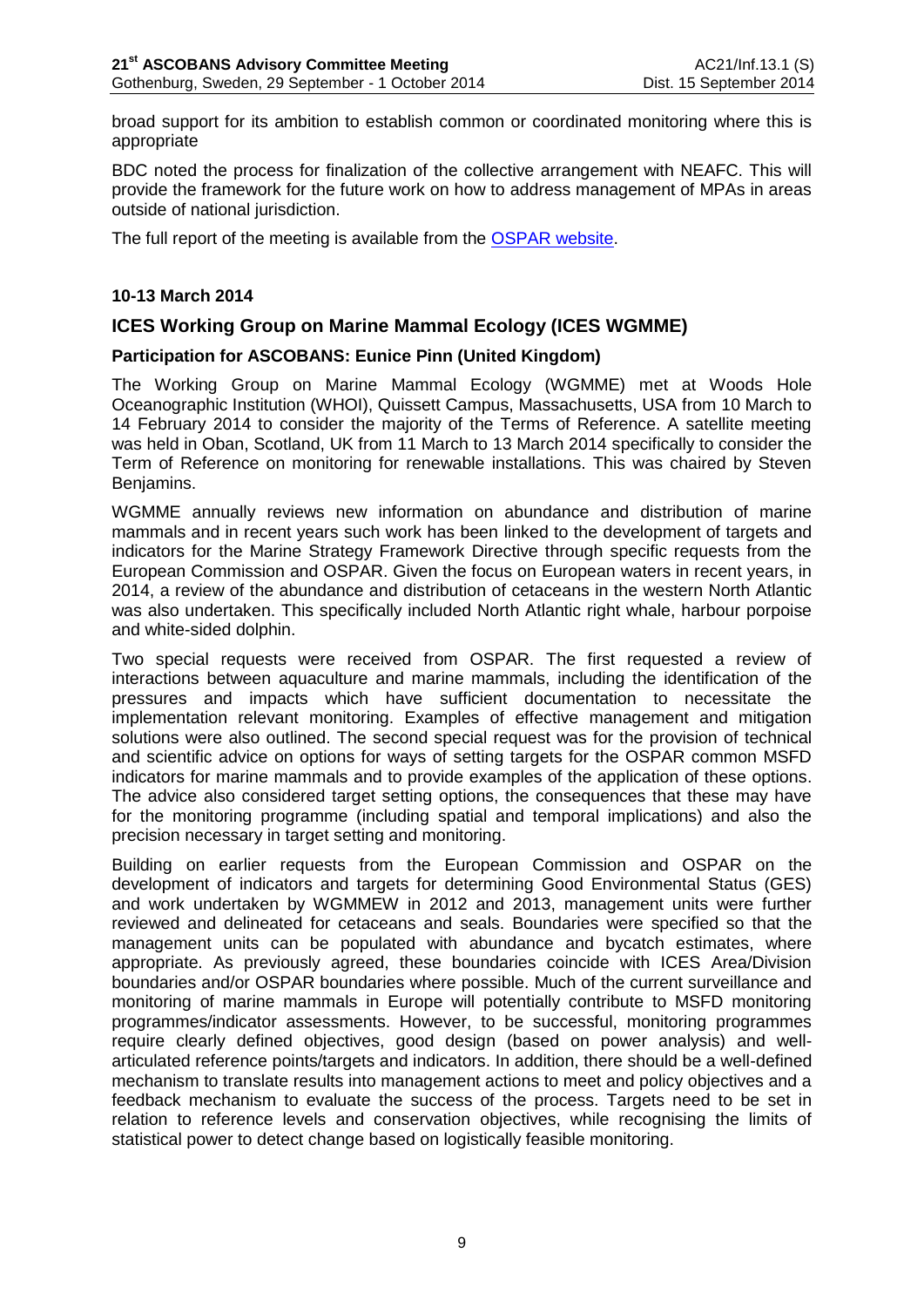broad support for its ambition to establish common or coordinated monitoring where this is appropriate

BDC noted the process for finalization of the collective arrangement with NEAFC. This will provide the framework for the future work on how to address management of MPAs in areas outside of national jurisdiction.

The full report of the meeting is available from the [OSPAR website.](http://www.ospar.org/v_meetings/browse.asp)

## **10-13 March 2014**

# **ICES Working Group on Marine Mammal Ecology (ICES WGMME)**

## **Participation for ASCOBANS: Eunice Pinn (United Kingdom)**

The Working Group on Marine Mammal Ecology (WGMME) met at Woods Hole Oceanographic Institution (WHOI), Quissett Campus, Massachusetts, USA from 10 March to 14 February 2014 to consider the majority of the Terms of Reference. A satellite meeting was held in Oban, Scotland, UK from 11 March to 13 March 2014 specifically to consider the Term of Reference on monitoring for renewable installations. This was chaired by Steven Benjamins.

WGMME annually reviews new information on abundance and distribution of marine mammals and in recent years such work has been linked to the development of targets and indicators for the Marine Strategy Framework Directive through specific requests from the European Commission and OSPAR. Given the focus on European waters in recent years, in 2014, a review of the abundance and distribution of cetaceans in the western North Atlantic was also undertaken. This specifically included North Atlantic right whale, harbour porpoise and white-sided dolphin.

Two special requests were received from OSPAR. The first requested a review of interactions between aquaculture and marine mammals, including the identification of the pressures and impacts which have sufficient documentation to necessitate the implementation relevant monitoring. Examples of effective management and mitigation solutions were also outlined. The second special request was for the provision of technical and scientific advice on options for ways of setting targets for the OSPAR common MSFD indicators for marine mammals and to provide examples of the application of these options. The advice also considered target setting options, the consequences that these may have for the monitoring programme (including spatial and temporal implications) and also the precision necessary in target setting and monitoring.

Building on earlier requests from the European Commission and OSPAR on the development of indicators and targets for determining Good Environmental Status (GES) and work undertaken by WGMMEW in 2012 and 2013, management units were further reviewed and delineated for cetaceans and seals. Boundaries were specified so that the management units can be populated with abundance and bycatch estimates, where appropriate. As previously agreed, these boundaries coincide with ICES Area/Division boundaries and/or OSPAR boundaries where possible. Much of the current surveillance and monitoring of marine mammals in Europe will potentially contribute to MSFD monitoring programmes/indicator assessments. However, to be successful, monitoring programmes require clearly defined objectives, good design (based on power analysis) and wellarticulated reference points/targets and indicators. In addition, there should be a well-defined mechanism to translate results into management actions to meet and policy objectives and a feedback mechanism to evaluate the success of the process. Targets need to be set in relation to reference levels and conservation objectives, while recognising the limits of statistical power to detect change based on logistically feasible monitoring.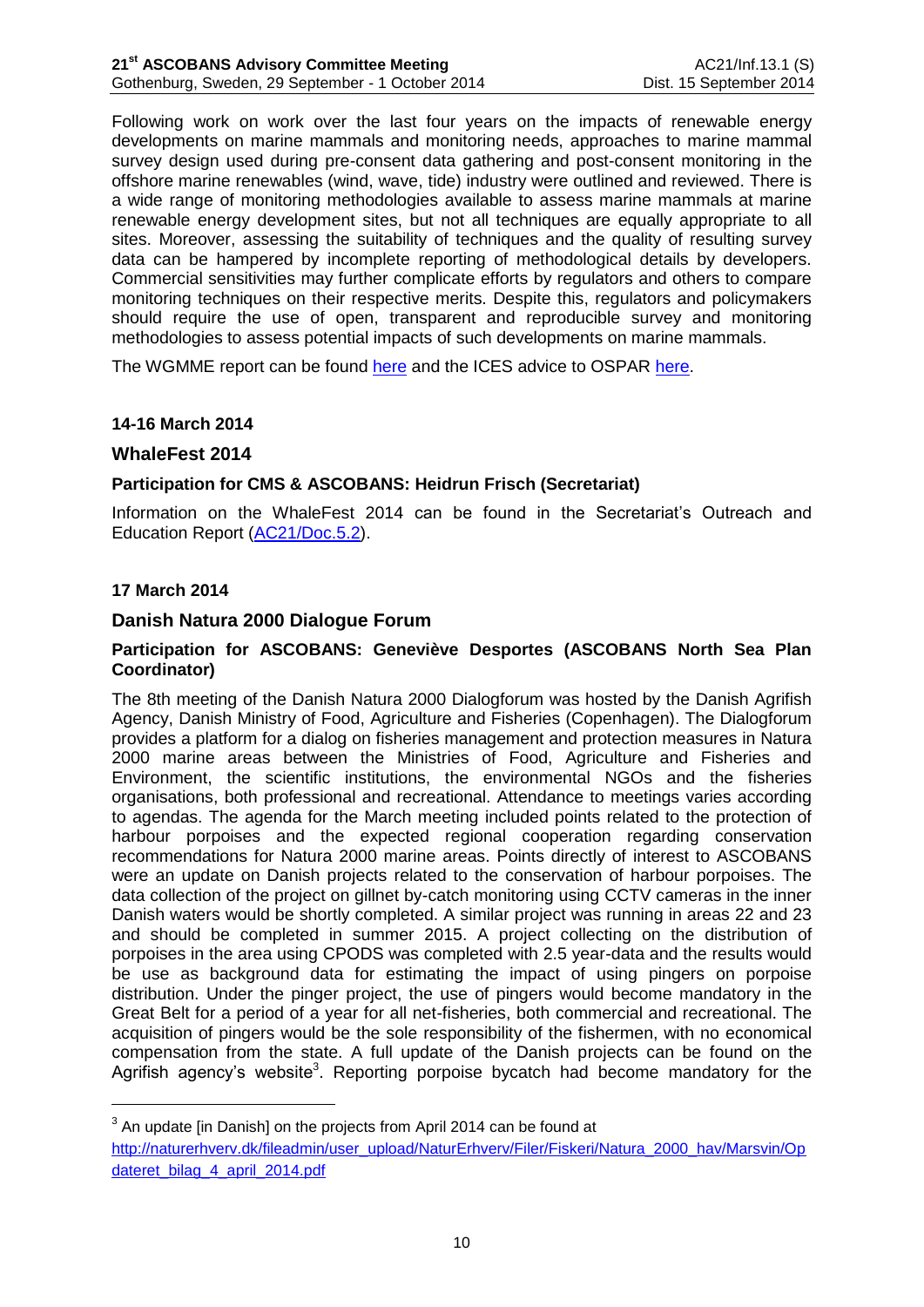Following work on work over the last four years on the impacts of renewable energy developments on marine mammals and monitoring needs, approaches to marine mammal survey design used during pre-consent data gathering and post-consent monitoring in the offshore marine renewables (wind, wave, tide) industry were outlined and reviewed. There is a wide range of monitoring methodologies available to assess marine mammals at marine renewable energy development sites, but not all techniques are equally appropriate to all sites. Moreover, assessing the suitability of techniques and the quality of resulting survey data can be hampered by incomplete reporting of methodological details by developers. Commercial sensitivities may further complicate efforts by regulators and others to compare monitoring techniques on their respective merits. Despite this, regulators and policymakers should require the use of open, transparent and reproducible survey and monitoring methodologies to assess potential impacts of such developments on marine mammals.

The WGMME report can be found [here](http://www.ices.dk/community/groups/Pages/WGMME.aspx) and the ICES advice to OSPAR [here.](http://www.ices.dk/community/advisory-process/Pages/Latest-Advice.aspx)

## **14-16 March 2014**

## **WhaleFest 2014**

## **Participation for CMS & ASCOBANS: Heidrun Frisch (Secretariat)**

Information on the WhaleFest 2014 can be found in the Secretariat's Outreach and Education Report [\(AC21/Doc.5.2\)](http://www.ascobans.org/sites/default/files/document/AC21_5.2_OutreachReport.pdf).

## **17 March 2014**

<u>.</u>

## **Danish Natura 2000 Dialogue Forum**

### **Participation for ASCOBANS: Geneviève Desportes (ASCOBANS North Sea Plan Coordinator)**

The 8th meeting of the Danish Natura 2000 Dialogforum was hosted by the Danish Agrifish Agency, Danish Ministry of Food, Agriculture and Fisheries (Copenhagen). The Dialogforum provides a platform for a dialog on fisheries management and protection measures in Natura 2000 marine areas between the Ministries of Food, Agriculture and Fisheries and Environment, the scientific institutions, the environmental NGOs and the fisheries organisations, both professional and recreational. Attendance to meetings varies according to agendas. The agenda for the March meeting included points related to the protection of harbour porpoises and the expected regional cooperation regarding conservation recommendations for Natura 2000 marine areas. Points directly of interest to ASCOBANS were an update on Danish projects related to the conservation of harbour porpoises. The data collection of the project on gillnet by-catch monitoring using CCTV cameras in the inner Danish waters would be shortly completed. A similar project was running in areas 22 and 23 and should be completed in summer 2015. A project collecting on the distribution of porpoises in the area using CPODS was completed with 2.5 year-data and the results would be use as background data for estimating the impact of using pingers on porpoise distribution. Under the pinger project, the use of pingers would become mandatory in the Great Belt for a period of a year for all net-fisheries, both commercial and recreational. The acquisition of pingers would be the sole responsibility of the fishermen, with no economical compensation from the state. A full update of the Danish projects can be found on the Agrifish agency's website<sup>3</sup>. Reporting porpoise bycatch had become mandatory for the

 $3$  An update [in Danish] on the projects from April 2014 can be found at [http://naturerhverv.dk/fileadmin/user\\_upload/NaturErhverv/Filer/Fiskeri/Natura\\_2000\\_hav/Marsvin/Op](http://naturerhverv.dk/fileadmin/user_upload/NaturErhverv/Filer/Fiskeri/Natura_2000_hav/Marsvin/Opdateret_bilag_4_april_2014.pdf) [dateret\\_bilag\\_4\\_april\\_2014.pdf](http://naturerhverv.dk/fileadmin/user_upload/NaturErhverv/Filer/Fiskeri/Natura_2000_hav/Marsvin/Opdateret_bilag_4_april_2014.pdf)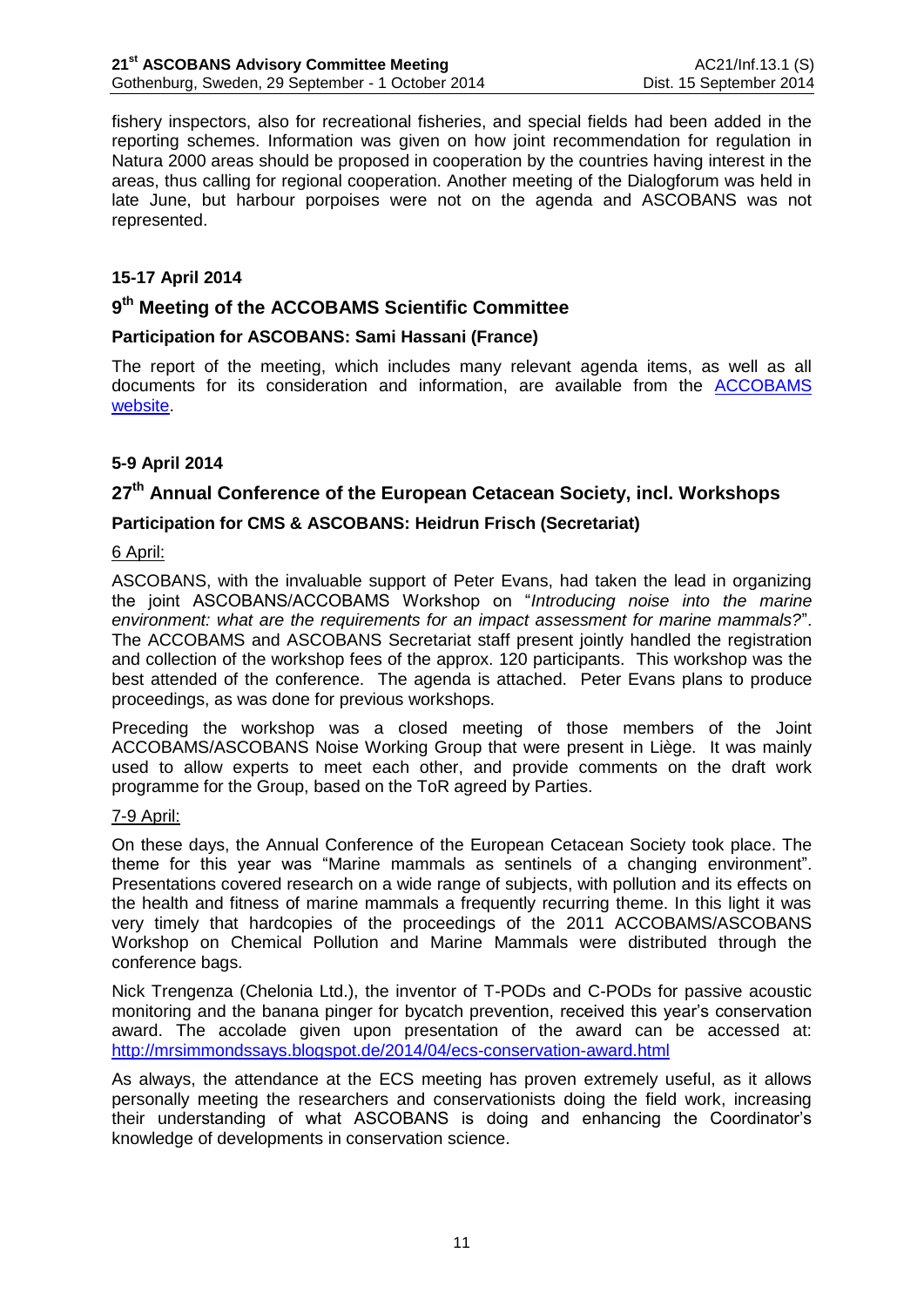fishery inspectors, also for recreational fisheries, and special fields had been added in the reporting schemes. Information was given on how joint recommendation for regulation in Natura 2000 areas should be proposed in cooperation by the countries having interest in the areas, thus calling for regional cooperation. Another meeting of the Dialogforum was held in late June, but harbour porpoises were not on the agenda and ASCOBANS was not represented.

## **15-17 April 2014**

# **9 th Meeting of the ACCOBAMS Scientific Committee**

## **Participation for ASCOBANS: Sami Hassani (France)**

The report of the meeting, which includes many relevant agenda items, as well as all documents for its consideration and information, are available from the [ACCOBAMS](http://www.accobams.org/index.php?option=com_content&view=article&id=1177:ninth-meeting-of-the-scientific-committee&catid=52:meetings-of-the-sc&Itemid=79)  [website.](http://www.accobams.org/index.php?option=com_content&view=article&id=1177:ninth-meeting-of-the-scientific-committee&catid=52:meetings-of-the-sc&Itemid=79)

## **5-9 April 2014**

# **27 th Annual Conference of the European Cetacean Society, incl. Workshops**

### **Participation for CMS & ASCOBANS: Heidrun Frisch (Secretariat)**

#### 6 April:

ASCOBANS, with the invaluable support of Peter Evans, had taken the lead in organizing the joint ASCOBANS/ACCOBAMS Workshop on "*Introducing noise into the marine environment: what are the requirements for an impact assessment for marine mammals?*". The ACCOBAMS and ASCOBANS Secretariat staff present jointly handled the registration and collection of the workshop fees of the approx. 120 participants. This workshop was the best attended of the conference. The agenda is attached. Peter Evans plans to produce proceedings, as was done for previous workshops.

Preceding the workshop was a closed meeting of those members of the Joint ACCOBAMS/ASCOBANS Noise Working Group that were present in Liège. It was mainly used to allow experts to meet each other, and provide comments on the draft work programme for the Group, based on the ToR agreed by Parties.

#### 7-9 April:

On these days, the Annual Conference of the European Cetacean Society took place. The theme for this year was "Marine mammals as sentinels of a changing environment". Presentations covered research on a wide range of subjects, with pollution and its effects on the health and fitness of marine mammals a frequently recurring theme. In this light it was very timely that hardcopies of the proceedings of the 2011 ACCOBAMS/ASCOBANS Workshop on Chemical Pollution and Marine Mammals were distributed through the conference bags.

Nick Trengenza (Chelonia Ltd.), the inventor of T-PODs and C-PODs for passive acoustic monitoring and the banana pinger for bycatch prevention, received this year's conservation award. The accolade given upon presentation of the award can be accessed at: <http://mrsimmondssays.blogspot.de/2014/04/ecs-conservation-award.html>

As always, the attendance at the ECS meeting has proven extremely useful, as it allows personally meeting the researchers and conservationists doing the field work, increasing their understanding of what ASCOBANS is doing and enhancing the Coordinator's knowledge of developments in conservation science.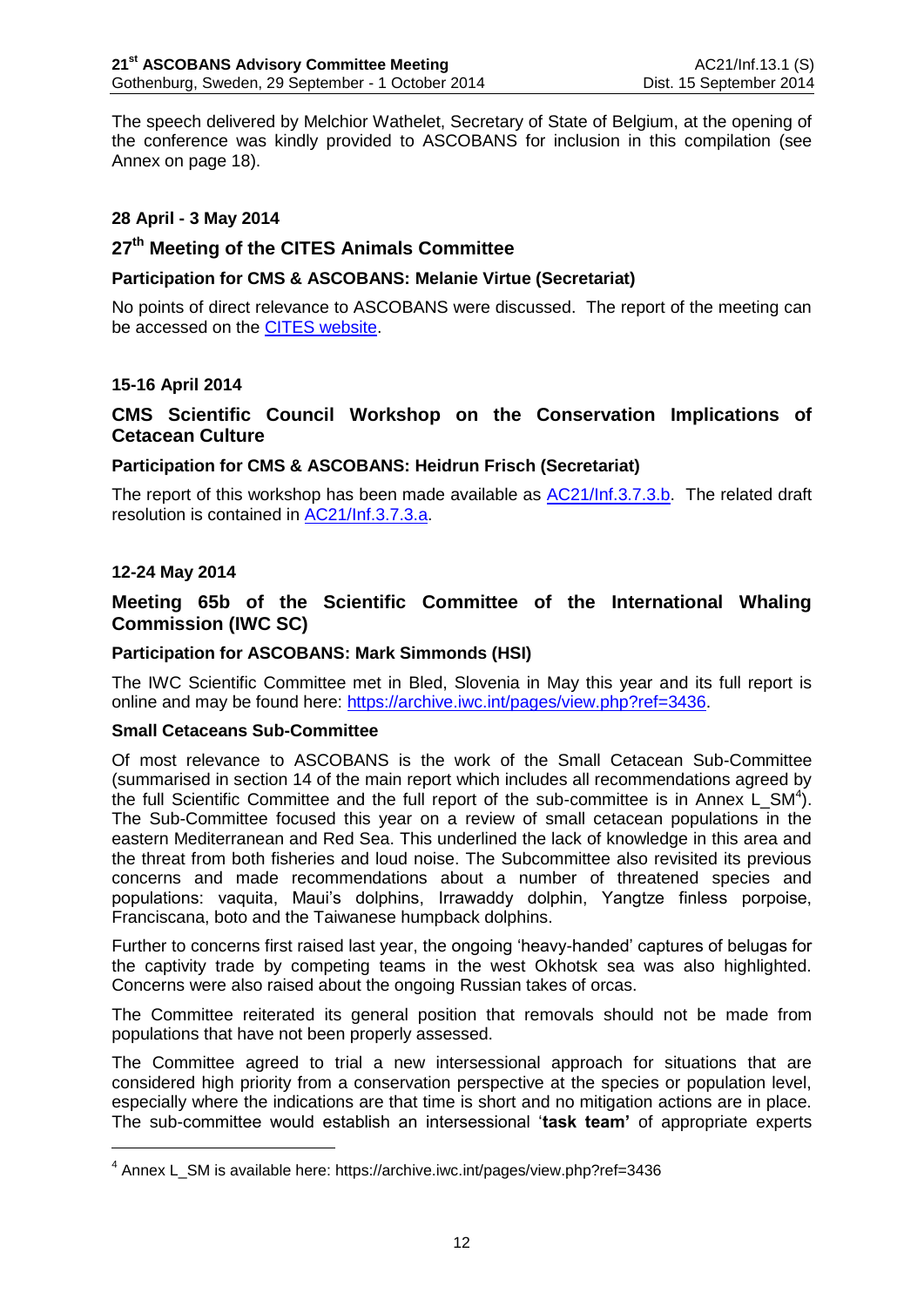The speech delivered by Melchior Wathelet, Secretary of State of Belgium, at the opening of the conference was kindly provided to ASCOBANS for inclusion in this compilation (see Annex on page [18\)](#page-19-0).

## **28 April - 3 May 2014**

# **27th Meeting of the CITES Animals Committee**

## **Participation for CMS & ASCOBANS: Melanie Virtue (Secretariat)**

No points of direct relevance to ASCOBANS were discussed. The report of the meeting can be accessed on the **CITES** website.

## **15-16 April 2014**

# **CMS Scientific Council Workshop on the Conservation Implications of Cetacean Culture**

### **Participation for CMS & ASCOBANS: Heidrun Frisch (Secretariat)**

The report of this workshop has been made available as [AC21/Inf.3.7.3.b.](http://www.ascobans.org/sites/default/files/document/AC21_Inf_3.7.3.b_CMS_WorkshopReport_CetaceanCulture.pdf) The related draft resolution is contained in [AC21/Inf.3.7.3.a.](http://www.ascobans.org/sites/default/files/document/AC21_Inf_3.7.3.a_CMS_DraftRes_CetaceanCulture.pdf)

### **12-24 May 2014**

<u>.</u>

## **Meeting 65b of the Scientific Committee of the International Whaling Commission (IWC SC)**

### **Participation for ASCOBANS: Mark Simmonds (HSI)**

The IWC Scientific Committee met in Bled, Slovenia in May this year and its full report is online and may be found here: [https://archive.iwc.int/pages/view.php?ref=3436.](https://archive.iwc.int/pages/view.php?ref=3436)

#### **Small Cetaceans Sub-Committee**

Of most relevance to ASCOBANS is the work of the Small Cetacean Sub-Committee (summarised in section 14 of the main report which includes all recommendations agreed by the full Scientific Committee and the full report of the sub-committee is in Annex  $L\_SM^4$ ). The Sub-Committee focused this year on a review of small cetacean populations in the eastern Mediterranean and Red Sea. This underlined the lack of knowledge in this area and the threat from both fisheries and loud noise. The Subcommittee also revisited its previous concerns and made recommendations about a number of threatened species and populations: vaquita, Maui's dolphins, Irrawaddy dolphin, Yangtze finless porpoise, Franciscana, boto and the Taiwanese humpback dolphins.

Further to concerns first raised last year, the ongoing 'heavy-handed' captures of belugas for the captivity trade by competing teams in the west Okhotsk sea was also highlighted. Concerns were also raised about the ongoing Russian takes of orcas.

The Committee reiterated its general position that removals should not be made from populations that have not been properly assessed.

The Committee agreed to trial a new intersessional approach for situations that are considered high priority from a conservation perspective at the species or population level, especially where the indications are that time is short and no mitigation actions are in place. The sub-committee would establish an intersessional '**task team'** of appropriate experts

<sup>&</sup>lt;sup>4</sup> Annex L\_SM is available here: https://archive.iwc.int/pages/view.php?ref=3436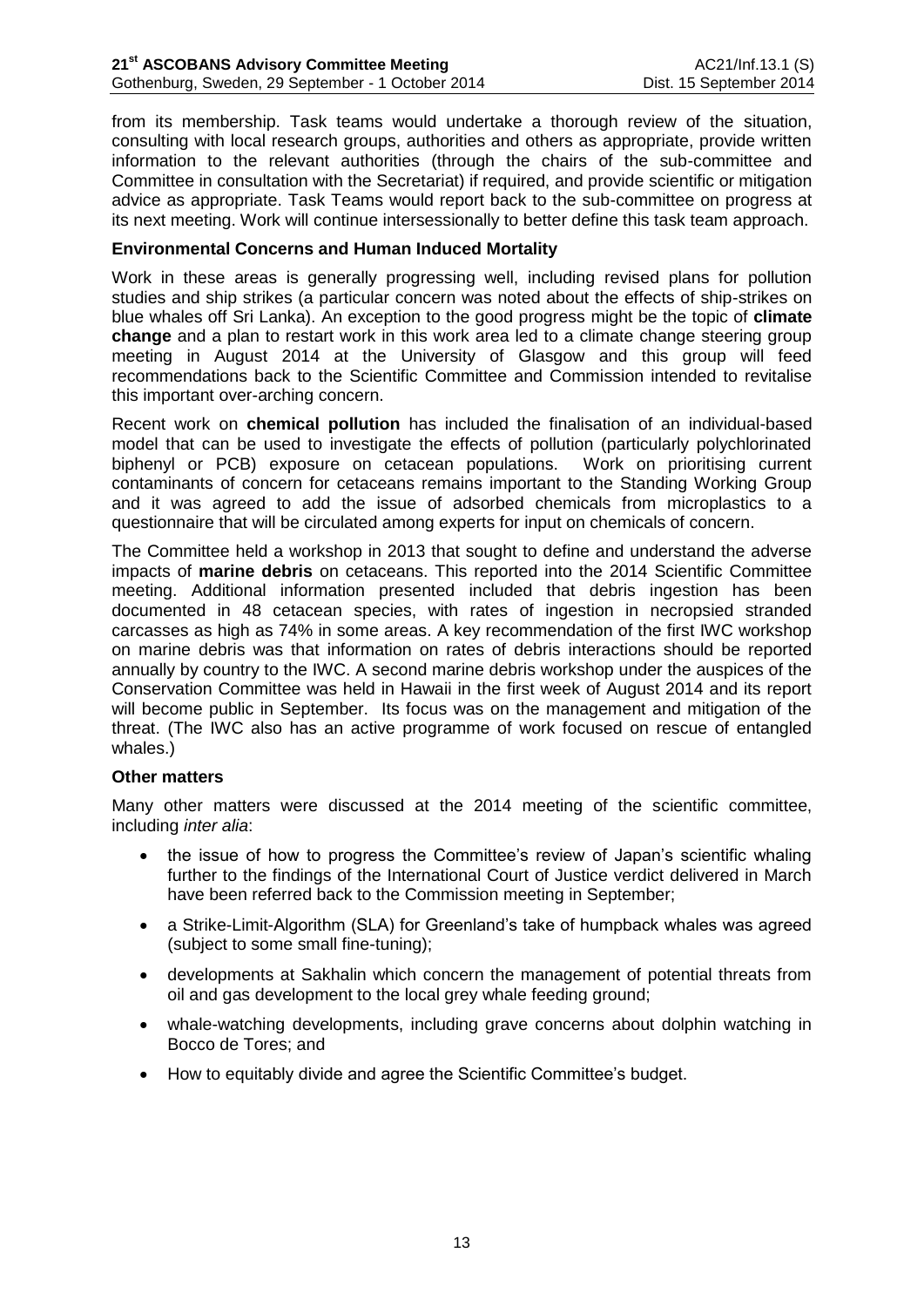from its membership. Task teams would undertake a thorough review of the situation, consulting with local research groups, authorities and others as appropriate, provide written information to the relevant authorities (through the chairs of the sub-committee and Committee in consultation with the Secretariat) if required, and provide scientific or mitigation advice as appropriate. Task Teams would report back to the sub-committee on progress at its next meeting. Work will continue intersessionally to better define this task team approach.

## **Environmental Concerns and Human Induced Mortality**

Work in these areas is generally progressing well, including revised plans for pollution studies and ship strikes (a particular concern was noted about the effects of ship-strikes on blue whales off Sri Lanka). An exception to the good progress might be the topic of **climate change** and a plan to restart work in this work area led to a climate change steering group meeting in August 2014 at the University of Glasgow and this group will feed recommendations back to the Scientific Committee and Commission intended to revitalise this important over-arching concern.

Recent work on **chemical pollution** has included the finalisation of an individual-based model that can be used to investigate the effects of pollution (particularly polychlorinated biphenyl or PCB) exposure on cetacean populations. Work on prioritising current contaminants of concern for cetaceans remains important to the Standing Working Group and it was agreed to add the issue of adsorbed chemicals from microplastics to a questionnaire that will be circulated among experts for input on chemicals of concern.

The Committee held a workshop in 2013 that sought to define and understand the adverse impacts of **marine debris** on cetaceans. This reported into the 2014 Scientific Committee meeting. Additional information presented included that debris ingestion has been documented in 48 cetacean species, with rates of ingestion in necropsied stranded carcasses as high as 74% in some areas. A key recommendation of the first IWC workshop on marine debris was that information on rates of debris interactions should be reported annually by country to the IWC. A second marine debris workshop under the auspices of the Conservation Committee was held in Hawaii in the first week of August 2014 and its report will become public in September. Its focus was on the management and mitigation of the threat. (The IWC also has an active programme of work focused on rescue of entangled whales.)

## **Other matters**

Many other matters were discussed at the 2014 meeting of the scientific committee, including *inter alia*:

- the issue of how to progress the Committee's review of Japan's scientific whaling further to the findings of the International Court of Justice verdict delivered in March have been referred back to the Commission meeting in September;
- a Strike-Limit-Algorithm (SLA) for Greenland's take of humpback whales was agreed (subject to some small fine-tuning);
- developments at Sakhalin which concern the management of potential threats from oil and gas development to the local grey whale feeding ground;
- whale-watching developments, including grave concerns about dolphin watching in Bocco de Tores; and
- How to equitably divide and agree the Scientific Committee's budget.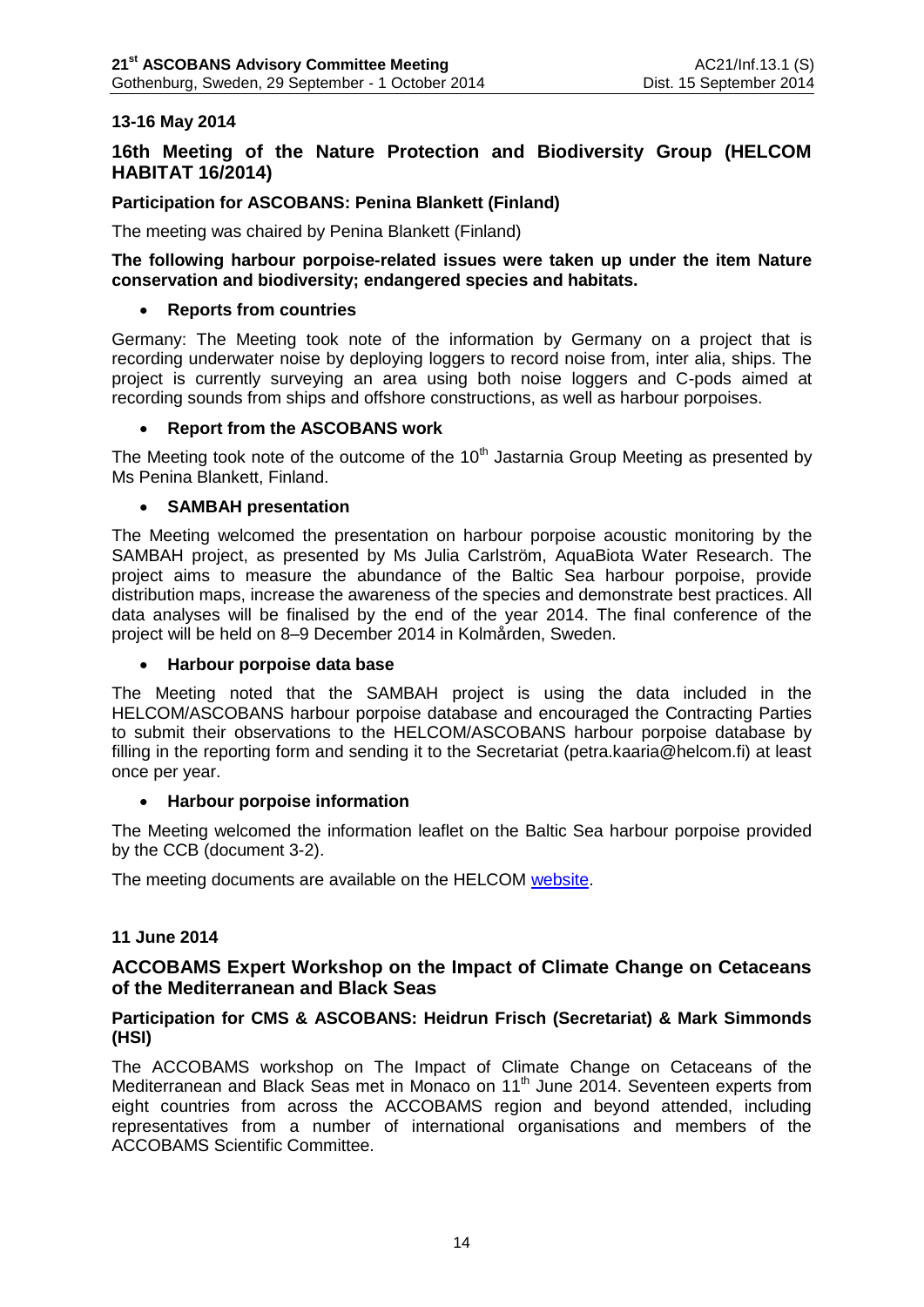# **13-16 May 2014**

# **16th Meeting of the Nature Protection and Biodiversity Group (HELCOM HABITAT 16/2014)**

## **Participation for ASCOBANS: Penina Blankett (Finland)**

The meeting was chaired by Penina Blankett (Finland)

### **The following harbour porpoise-related issues were taken up under the item Nature conservation and biodiversity; endangered species and habitats.**

## **Reports from countries**

Germany: The Meeting took note of the information by Germany on a project that is recording underwater noise by deploying loggers to record noise from, inter alia, ships. The project is currently surveying an area using both noise loggers and C-pods aimed at recording sounds from ships and offshore constructions, as well as harbour porpoises.

### **Report from the ASCOBANS work**

The Meeting took note of the outcome of the  $10<sup>th</sup>$  Jastarnia Group Meeting as presented by Ms Penina Blankett, Finland.

## **SAMBAH presentation**

The Meeting welcomed the presentation on harbour porpoise acoustic monitoring by the SAMBAH project, as presented by Ms Julia Carlström, AquaBiota Water Research. The project aims to measure the abundance of the Baltic Sea harbour porpoise, provide distribution maps, increase the awareness of the species and demonstrate best practices. All data analyses will be finalised by the end of the year 2014. The final conference of the project will be held on 8–9 December 2014 in Kolmården, Sweden.

## **Harbour porpoise data base**

The Meeting noted that the SAMBAH project is using the data included in the HELCOM/ASCOBANS harbour porpoise database and encouraged the Contracting Parties to submit their observations to the HELCOM/ASCOBANS harbour porpoise database by filling in the reporting form and sending it to the Secretariat (petra.kaaria@helcom.fi) at least once per year.

## **Harbour porpoise information**

The Meeting welcomed the information leaflet on the Baltic Sea harbour porpoise provided by the CCB (document 3-2).

The meeting documents are available on the HELCOM [website.](http://portal.helcom.fi:81/meetings/HABITAT%2016-2014-104/default.aspx)

## **11 June 2014**

## **ACCOBAMS Expert Workshop on the Impact of Climate Change on Cetaceans of the Mediterranean and Black Seas**

## **Participation for CMS & ASCOBANS: Heidrun Frisch (Secretariat) & Mark Simmonds (HSI)**

The ACCOBAMS workshop on The Impact of Climate Change on Cetaceans of the Mediterranean and Black Seas met in Monaco on 11<sup>th</sup> June 2014. Seventeen experts from eight countries from across the ACCOBAMS region and beyond attended, including representatives from a number of international organisations and members of the ACCOBAMS Scientific Committee.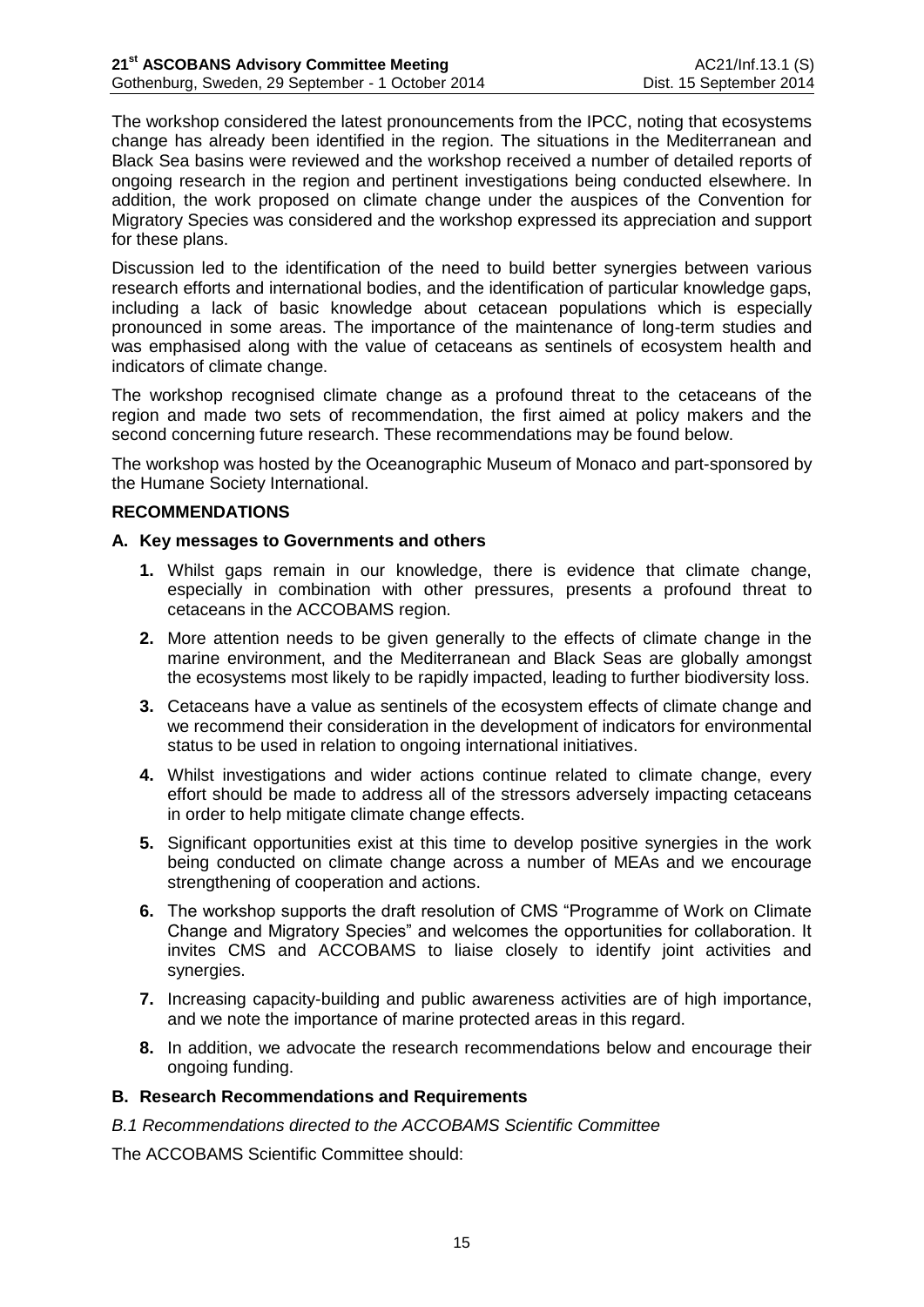The workshop considered the latest pronouncements from the IPCC, noting that ecosystems change has already been identified in the region. The situations in the Mediterranean and Black Sea basins were reviewed and the workshop received a number of detailed reports of ongoing research in the region and pertinent investigations being conducted elsewhere. In addition, the work proposed on climate change under the auspices of the Convention for Migratory Species was considered and the workshop expressed its appreciation and support for these plans.

Discussion led to the identification of the need to build better synergies between various research efforts and international bodies, and the identification of particular knowledge gaps, including a lack of basic knowledge about cetacean populations which is especially pronounced in some areas. The importance of the maintenance of long-term studies and was emphasised along with the value of cetaceans as sentinels of ecosystem health and indicators of climate change.

The workshop recognised climate change as a profound threat to the cetaceans of the region and made two sets of recommendation, the first aimed at policy makers and the second concerning future research. These recommendations may be found below.

The workshop was hosted by the Oceanographic Museum of Monaco and part-sponsored by the Humane Society International.

## **RECOMMENDATIONS**

## **A. Key messages to Governments and others**

- **1.** Whilst gaps remain in our knowledge, there is evidence that climate change, especially in combination with other pressures, presents a profound threat to cetaceans in the ACCOBAMS region.
- **2.** More attention needs to be given generally to the effects of climate change in the marine environment, and the Mediterranean and Black Seas are globally amongst the ecosystems most likely to be rapidly impacted, leading to further biodiversity loss.
- **3.** Cetaceans have a value as sentinels of the ecosystem effects of climate change and we recommend their consideration in the development of indicators for environmental status to be used in relation to ongoing international initiatives.
- **4.** Whilst investigations and wider actions continue related to climate change, every effort should be made to address all of the stressors adversely impacting cetaceans in order to help mitigate climate change effects.
- **5.** Significant opportunities exist at this time to develop positive synergies in the work being conducted on climate change across a number of MEAs and we encourage strengthening of cooperation and actions.
- **6.** The workshop supports the draft resolution of CMS "Programme of Work on Climate Change and Migratory Species" and welcomes the opportunities for collaboration. It invites CMS and ACCOBAMS to liaise closely to identify joint activities and synergies.
- **7.** Increasing capacity-building and public awareness activities are of high importance, and we note the importance of marine protected areas in this regard.
- **8.** In addition, we advocate the research recommendations below and encourage their ongoing funding.

## **B. Research Recommendations and Requirements**

*B.1 Recommendations directed to the ACCOBAMS Scientific Committee*

The ACCOBAMS Scientific Committee should: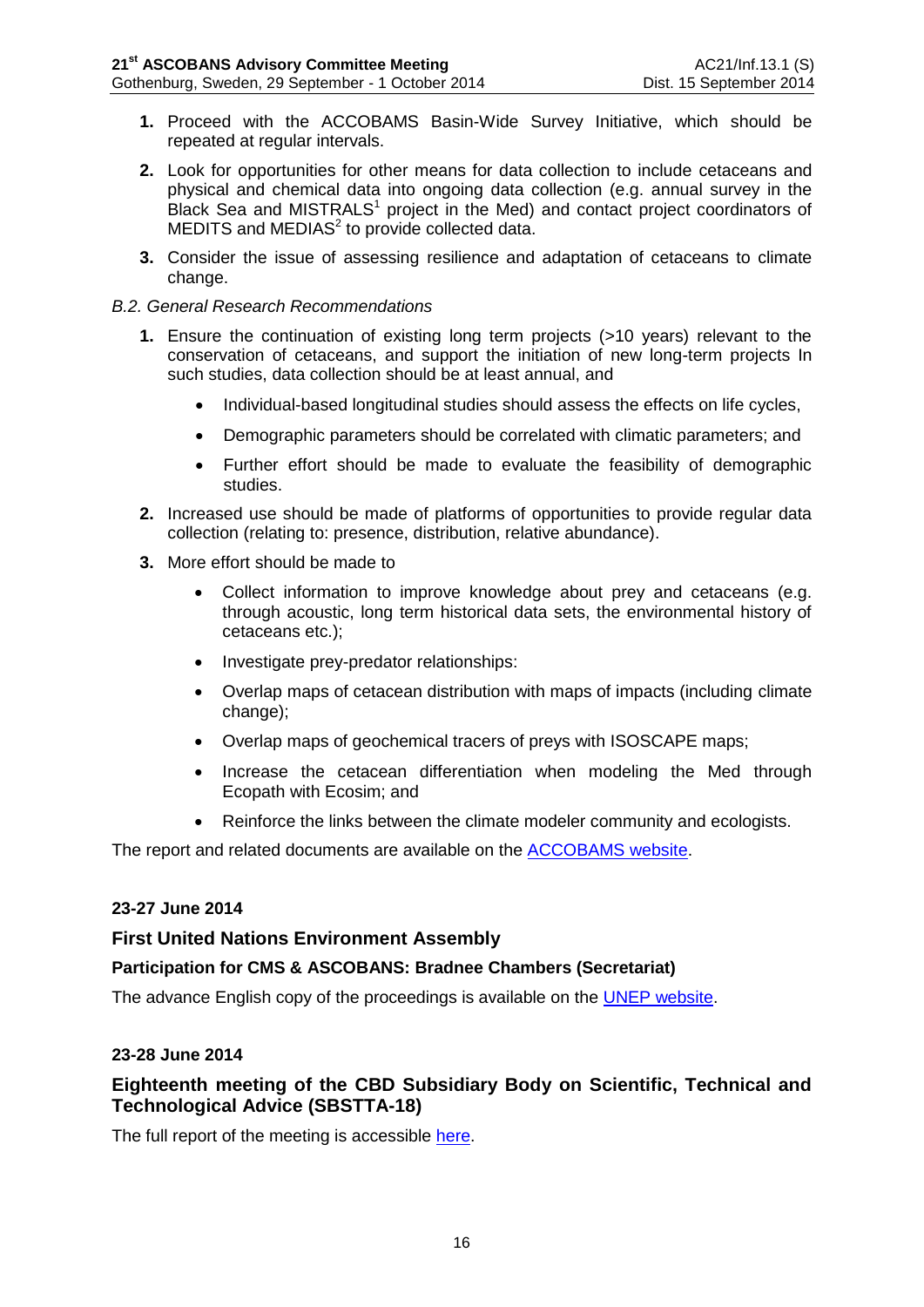- **1.** Proceed with the ACCOBAMS Basin-Wide Survey Initiative, which should be repeated at regular intervals.
- **2.** Look for opportunities for other means for data collection to include cetaceans and physical and chemical data into ongoing data collection (e.g. annual survey in the Black Sea and MISTRALS<sup>1</sup> project in the Med) and contact project coordinators of MEDITS and MEDIAS<sup>2</sup> to provide collected data.
- **3.** Consider the issue of assessing resilience and adaptation of cetaceans to climate change.

### *B.2. General Research Recommendations*

- **1.** Ensure the continuation of existing long term projects (>10 years) relevant to the conservation of cetaceans, and support the initiation of new long-term projects In such studies, data collection should be at least annual, and
	- Individual-based longitudinal studies should assess the effects on life cycles,
	- Demographic parameters should be correlated with climatic parameters; and
	- Further effort should be made to evaluate the feasibility of demographic studies.
- **2.** Increased use should be made of platforms of opportunities to provide regular data collection (relating to: presence, distribution, relative abundance).
- **3.** More effort should be made to
	- Collect information to improve knowledge about prey and cetaceans (e.g. through acoustic, long term historical data sets, the environmental history of cetaceans etc.);
	- Investigate prey-predator relationships:
	- Overlap maps of cetacean distribution with maps of impacts (including climate change);
	- Overlap maps of geochemical tracers of preys with ISOSCAPE maps;
	- Increase the cetacean differentiation when modeling the Med through Ecopath with Ecosim; and
	- Reinforce the links between the climate modeler community and ecologists.

The report and related documents are available on the **ACCOBAMS** website.

## **23-27 June 2014**

## **First United Nations Environment Assembly**

## **Participation for CMS & ASCOBANS: Bradnee Chambers (Secretariat)**

The advance English copy of the proceedings is available on the [UNEP website.](http://www.unep.org/unea/docs/Advance_English_copy_of_the_proceedings.pdf)

#### **23-28 June 2014**

# **Eighteenth meeting of the CBD Subsidiary Body on Scientific, Technical and Technological Advice (SBSTTA-18)**

The full report of the meeting is accessible [here.](http://www.cbd.int/doc/meetings/cop/cop-12/official/cop-12-03-en.pdf)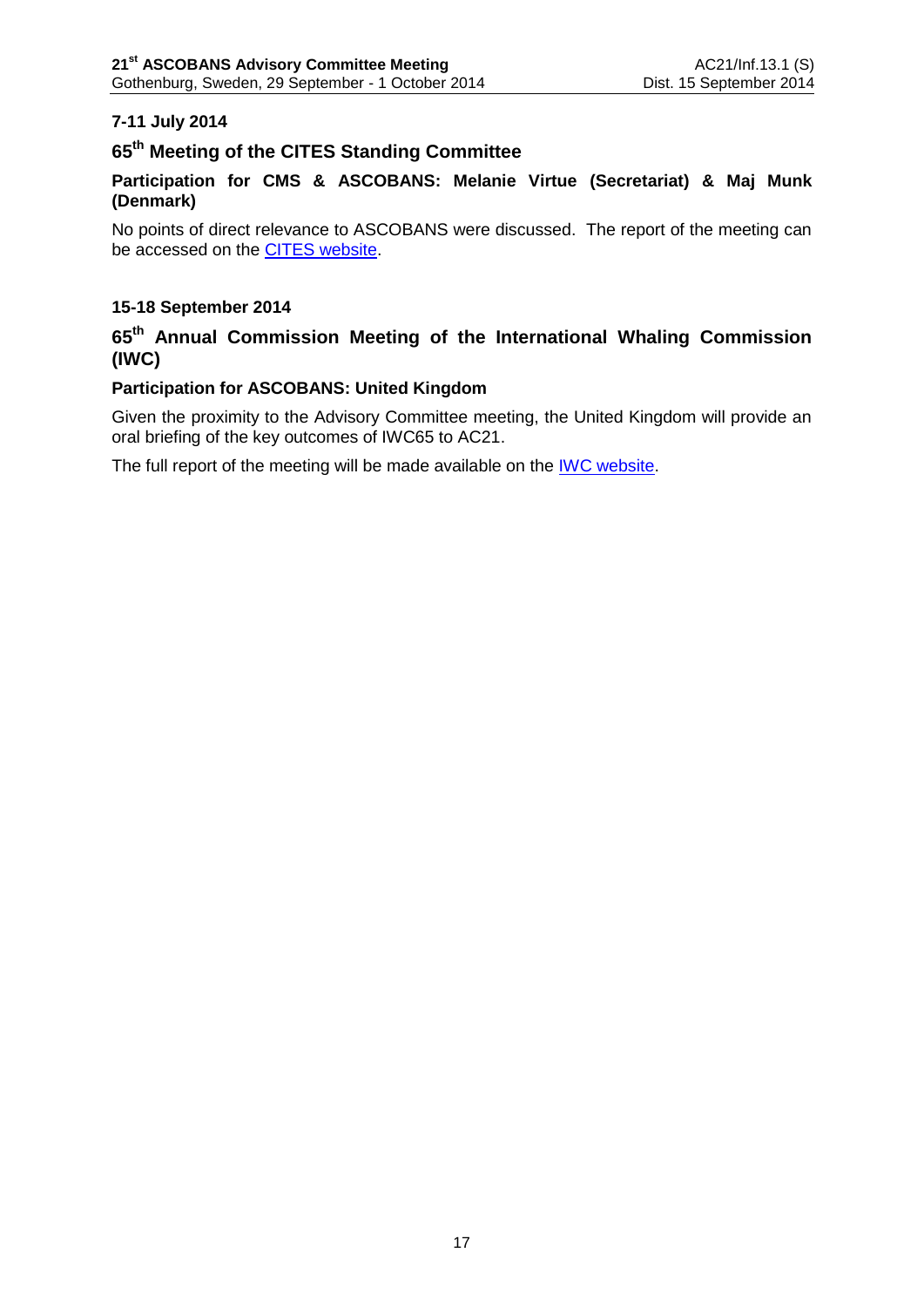# **7-11 July 2014**

# **65th Meeting of the CITES Standing Committee**

# **Participation for CMS & ASCOBANS: Melanie Virtue (Secretariat) & Maj Munk (Denmark)**

No points of direct relevance to ASCOBANS were discussed. The report of the meeting can be accessed on the [CITES website.](http://www.cites.org/eng/com/sc/index.php)

## **15-18 September 2014**

# **65th Annual Commission Meeting of the International Whaling Commission (IWC)**

## **Participation for ASCOBANS: United Kingdom**

Given the proximity to the Advisory Committee meeting, the United Kingdom will provide an oral briefing of the key outcomes of IWC65 to AC21.

The full report of the meeting will be made available on the **IWC website**.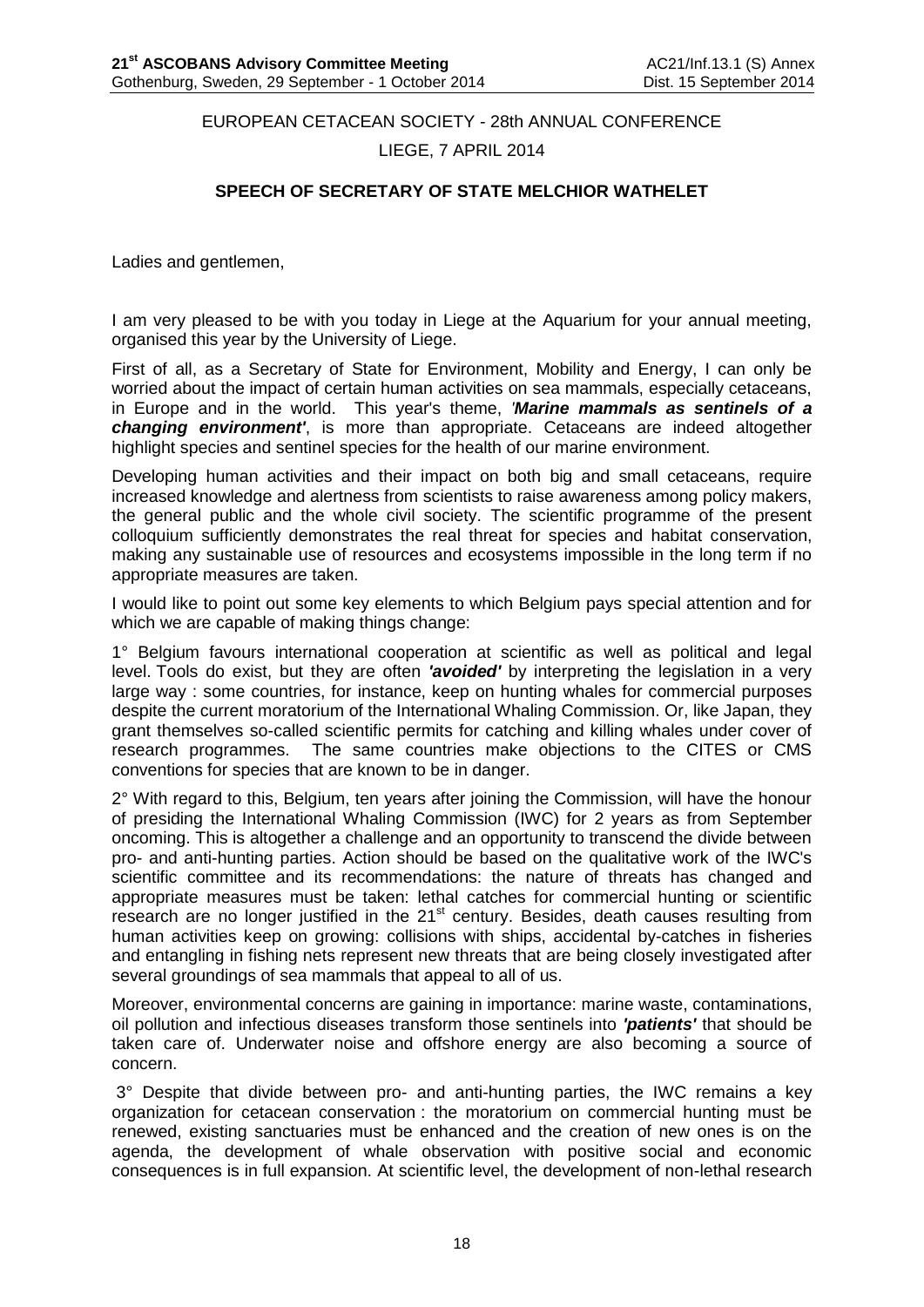EUROPEAN CETACEAN SOCIETY - 28th ANNUAL CONFERENCE

LIEGE, 7 APRIL 2014

## **SPEECH OF SECRETARY OF STATE MELCHIOR WATHELET**

<span id="page-19-0"></span>Ladies and gentlemen,

I am very pleased to be with you today in Liege at the Aquarium for your annual meeting, organised this year by the University of Liege.

First of all, as a Secretary of State for Environment, Mobility and Energy, I can only be worried about the impact of certain human activities on sea mammals, especially cetaceans, in Europe and in the world. This year's theme, *'Marine mammals as sentinels of a changing environment'*, is more than appropriate. Cetaceans are indeed altogether highlight species and sentinel species for the health of our marine environment.

Developing human activities and their impact on both big and small cetaceans, require increased knowledge and alertness from scientists to raise awareness among policy makers, the general public and the whole civil society. The scientific programme of the present colloquium sufficiently demonstrates the real threat for species and habitat conservation, making any sustainable use of resources and ecosystems impossible in the long term if no appropriate measures are taken.

I would like to point out some key elements to which Belgium pays special attention and for which we are capable of making things change:

1° Belgium favours international cooperation at scientific as well as political and legal level. Tools do exist, but they are often *'avoided'* by interpreting the legislation in a very large way : some countries, for instance, keep on hunting whales for commercial purposes despite the current moratorium of the International Whaling Commission. Or, like Japan, they grant themselves so-called scientific permits for catching and killing whales under cover of research programmes. The same countries make objections to the CITES or CMS conventions for species that are known to be in danger.

2° With regard to this, Belgium, ten years after joining the Commission, will have the honour of presiding the International Whaling Commission (IWC) for 2 years as from September oncoming. This is altogether a challenge and an opportunity to transcend the divide between pro- and anti-hunting parties. Action should be based on the qualitative work of the IWC's scientific committee and its recommendations: the nature of threats has changed and appropriate measures must be taken: lethal catches for commercial hunting or scientific research are no longer justified in the 21<sup>st</sup> century. Besides, death causes resulting from human activities keep on growing: collisions with ships, accidental by-catches in fisheries and entangling in fishing nets represent new threats that are being closely investigated after several groundings of sea mammals that appeal to all of us.

Moreover, environmental concerns are gaining in importance: marine waste, contaminations, oil pollution and infectious diseases transform those sentinels into *'patients'* that should be taken care of. Underwater noise and offshore energy are also becoming a source of concern.

3° Despite that divide between pro- and anti-hunting parties, the IWC remains a key organization for cetacean conservation : the moratorium on commercial hunting must be renewed, existing sanctuaries must be enhanced and the creation of new ones is on the agenda, the development of whale observation with positive social and economic consequences is in full expansion. At scientific level, the development of non-lethal research